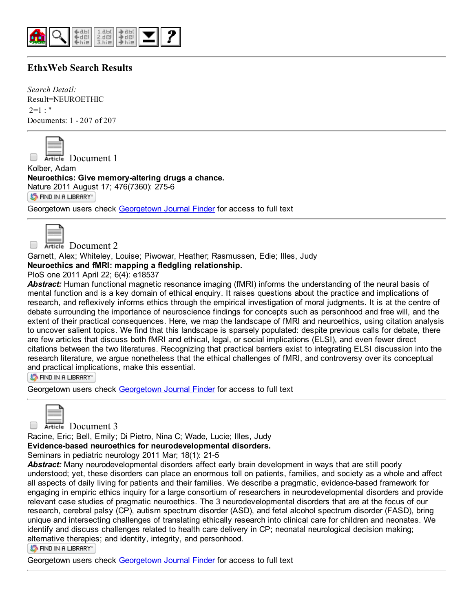

# EthxWeb Search Results

Search Detail: Result=NEUROETHIC  $2=1$  : " Documents: 1 - 207 of 207



Article Document 1

Kolber, Adam Neuroethics: Give memory-altering drugs a chance. [Nature](http://ethicslab.org/openurl/wc/0000340329/) 2011 August 17; 476(7360): 2756

S FIND IN A LIBRARY"

Georgetown users check [Georgetown](http://ethicslab.org/openurl/gt/0000340329/) Journal Finder for access to full text

Article Document 2

Garnett, Alex; Whiteley, Louise; Piwowar, Heather; Rasmussen, Edie; Illes, Judy

Neuroethics and fMRI: mapping a fledgling relationship.

PloS one 2011 April 22; 6(4): e18537

*Abstract:* Human functional magnetic resonance imaging (fMRI) informs the understanding of the neural basis of mental function and is a key domain of ethical enquiry. It raises questions about the practice and implications of research, and reflexively informs ethics through the empirical investigation of moral judgments. It is at the centre of debate surrounding the importance of neuroscience findings for concepts such as personhood and free will, and the extent of their practical consequences. Here, we map the landscape of fMRI and neuroethics, using citation analysis to uncover salient topics. We find that this landscape is sparsely populated: despite previous calls for debate, there are few articles that discuss both fMRI and ethical, legal, or social implications (ELSI), and even fewer direct citations between the two literatures. Recognizing that practical barriers exist to integrating ELSI discussion into the research literature, we argue nonetheless that the ethical challenges of fMRI, and controversy over its conceptual and practical implications, make this essential.

S FIND IN A LIBRARY"

Georgetown users check [Georgetown](http://ethicslab.org/openurl/gt/0000338684/) Journal Finder for access to full text

Article Document 3

Racine, Eric; Bell, Emily; Di Pietro, Nina C; Wade, Lucie; Illes, Judy

Evidence-based neuroethics for neurodevelopmental disorders.

Seminars in pediatric neurology 2011 Mar; 18(1): 21-5

*Abstract:* Many neurodevelopmental disorders affect early brain development in ways that are still poorly understood; yet, these disorders can place an enormous toll on patients, families, and society as a whole and affect all aspects of daily living for patients and their families. We describe a pragmatic, evidence-based framework for engaging in empiric ethics inquiry for a large consortium of researchers in neurodevelopmental disorders and provide relevant case studies of pragmatic neuroethics. The 3 neurodevelopmental disorders that are at the focus of our research, cerebral palsy (CP), autism spectrum disorder (ASD), and fetal alcohol spectrum disorder (FASD), bring unique and intersecting challenges of translating ethically research into clinical care for children and neonates. We identify and discuss challenges related to health care delivery in CP; neonatal neurological decision making; alternative therapies; and identity, integrity, and personhood.

S FIND IN A LIBRARY"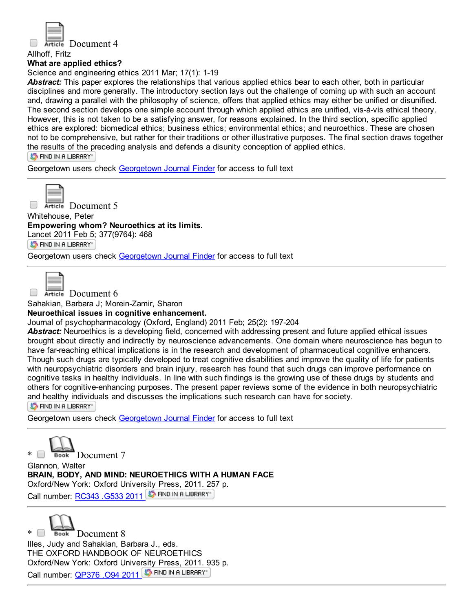

#### Allhoff, Fritz

#### What are applied ethics?

Science and engineering ethics 2011 Mar; 17(1): 1-19

*Abstract:* This paper explores the relationships that various applied ethics bear to each other, both in particular disciplines and more generally. The introductory section lays out the challenge of coming up with such an account and, drawing a parallel with the philosophy of science, offers that applied ethics may either be unified or disunified. The second section develops one simple account through which applied ethics are unified, vis-à-vis ethical theory. However, this is not taken to be a satisfying answer, for reasons explained. In the third section, specific applied ethics are explored: biomedical ethics; business ethics; environmental ethics; and neuroethics. These are chosen not to be comprehensive, but rather for their traditions or other illustrative purposes. The final section draws together the results of the preceding analysis and defends a disunity conception of applied ethics.

**S** FIND IN A LIBRARY

Georgetown users check [Georgetown](http://ethicslab.org/openurl/gt/0000338069/) Journal Finder for access to full text



Article Document 5 Whitehouse, Peter

Empowering whom? Neuroethics at its limits.

Lancet 2011 Feb 5; 377(9764): 468

**S** FIND IN A LIBRARY"

[Georgetown](http://ethicslab.org/openurl/gt/0000337498/) users check Georgetown Journal Finder for access to full text

Article Document 6

Sahakian, Barbara J; Morein-Zamir, Sharon

#### Neuroethical issues in cognitive enhancement.

Journal of psychopharmacology (Oxford, England) 2011 Feb; 25(2): 197204

*Abstract:* Neuroethics is a developing field, concerned with addressing present and future applied ethical issues brought about directly and indirectly by neuroscience advancements. One domain where neuroscience has begun to have far-reaching ethical implications is in the research and development of pharmaceutical cognitive enhancers. Though such drugs are typically developed to treat cognitive disabilities and improve the quality of life for patients with neuropsychiatric disorders and brain injury, research has found that such drugs can improve performance on cognitive tasks in healthy individuals. In line with such findings is the growing use of these drugs by students and others for cognitive-enhancing purposes. The present paper reviews some of the evidence in both neuropsychiatric and healthy individuals and discusses the implications such research can have for society.

ST FIND IN A LIBRARY"

Georgetown users check [Georgetown](http://ethicslab.org/openurl/gt/0000337372/) Journal Finder for access to full text

\* Book Document 7

Glannon, Walter BRAIN, BODY, AND MIND: NEUROETHICS WITH A HUMAN FACE Oxford/New York: Oxford University Press, 2011. 257 p. Call number: [RC343](http://catalog.library.georgetown.edu/search/c?SEARCH=RC343%20.G533%202011&sortdropdown=-&searchscope=4) .G533 2011 5 FIND IN A LIBRARY

Book Document 8 Illes, Judy and Sahakian, Barbara J., eds. THE OXFORD HANDBOOK OF NEUROETHICS Oxford/New York: Oxford University Press, 2011. 935 p. Call number: [QP376](http://catalog.library.georgetown.edu/search/c?SEARCH=QP376%20.O94%202011&sortdropdown=-&searchscope=4) .094 2011 S FIND IN A LIBRARY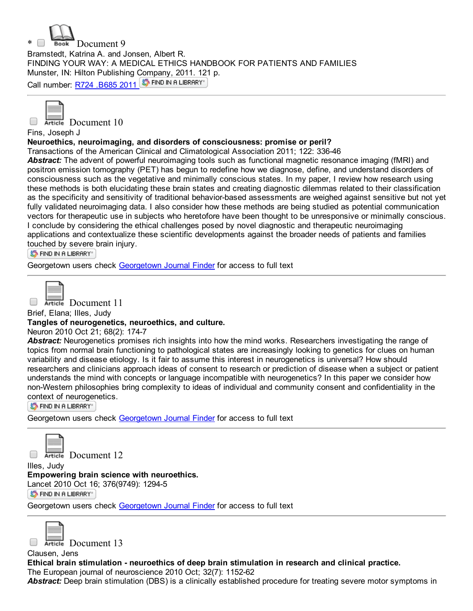





Fins, Joseph J

## Neuroethics, neuroimaging, and disorders of consciousness: promise or peril?

Transactions of the American Clinical and Climatological Association 2011; 122: 33646

*Abstract:* The advent of powerful neuroimaging tools such as functional magnetic resonance imaging (fMRI) and positron emission tomography (PET) has begun to redefine how we diagnose, define, and understand disorders of consciousness such as the vegetative and minimally conscious states. In my paper, I review how research using these methods is both elucidating these brain states and creating diagnostic dilemmas related to their classification as the specificity and sensitivity of traditional behavior-based assessments are weighed against sensitive but not yet fully validated neuroimaging data. I also consider how these methods are being studied as potential communication vectors for therapeutic use in subjects who heretofore have been thought to be unresponsive or minimally conscious. I conclude by considering the ethical challenges posed by novel diagnostic and therapeutic neuroimaging applications and contextualize these scientific developments against the broader needs of patients and families touched by severe brain injury.

S FIND IN A LIBRARY"

[Georgetown](http://ethicslab.org/openurl/gt/0000336399/) users check Georgetown Journal Finder for access to full text

 $\Box$ 

Article Document 11

Brief, Elana; Illes, Judy

## Tangles of neurogenetics, neuroethics, and culture.

Neuron 2010 Oct 21; 68(2): 174-7

*Abstract:* Neurogenetics promises rich insights into how the mind works. Researchers investigating the range of topics from normal brain functioning to pathological states are increasingly looking to genetics for clues on human variability and disease etiology. Is it fair to assume this interest in neurogenetics is universal? How should researchers and clinicians approach ideas of consent to research or prediction of disease when a subject or patient understands the mind with concepts or language incompatible with neurogenetics? In this paper we consider how non-Western philosophies bring complexity to ideas of individual and community consent and confidentiality in the context of neurogenetics.

S FIND IN A LIBRARY"

[Georgetown](http://ethicslab.org/openurl/gt/0000335137/) users check Georgetown Journal Finder for access to full text



Article Document 12

Illes, Judy Empowering brain science with neuroethics.

Lancet 2010 Oct 16; 376(9749): 1294-5

ST FIND IN A LIBRARY"

Georgetown users check [Georgetown](http://ethicslab.org/openurl/gt/0000335103/) Journal Finder for access to full text



 $\Box$ 

Article Document 13

Clausen, Jens Ethical brain stimulation neuroethics of deep brain stimulation in research and clinical practice. The European journal of neuroscience 2010 Oct; 32(7): 1152-62

*Abstract:* Deep brain stimulation (DBS) is a clinically established procedure for treating severe motor symptoms in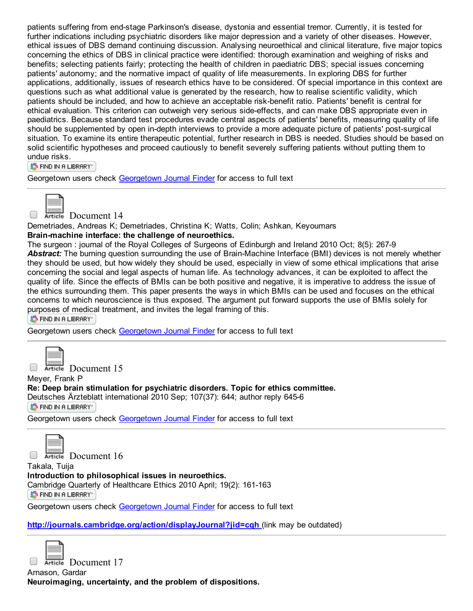patients suffering from end-stage Parkinson's disease, dystonia and essential tremor. Currently, it is tested for further indications including psychiatric disorders like major depression and a variety of other diseases. However, ethical issues of DBS demand continuing discussion. Analysing neuroethical and clinical literature, five major topics concerning the ethics of DBS in clinical practice were identified: thorough examination and weighing of risks and benefits; selecting patients fairly; protecting the health of children in paediatric DBS; special issues concerning patients' autonomy; and the normative impact of quality of life measurements. In exploring DBS for further applications, additionally, issues of research ethics have to be considered. Of special importance in this context are questions such as what additional value is generated by the research, how to realise scientific validity, which patients should be included, and how to achieve an acceptable risk-benefit ratio. Patients' benefit is central for ethical evaluation. This criterion can outweigh very serious side-effects, and can make DBS appropriate even in paediatrics. Because standard test procedures evade central aspects of patients' benefits, measuring quality of life should be supplemented by open in-depth interviews to provide a more adequate picture of patients' post-surgical situation. To examine its entire therapeutic potential, further research in DBS is needed. Studies should be based on solid scientific hypotheses and proceed cautiously to benefit severely suffering patients without putting them to undue risks.

ST FIND IN A LIBRARY"

Georgetown users check [Georgetown](http://ethicslab.org/openurl/gt/0000334916/) Journal Finder for access to full text



Article Document 14

Demetriades, Andreas K; Demetriades, Christina K; Watts, Colin; Ashkan, Keyoumars Brain-machine interface: the challenge of neuroethics.

The surgeon : journal of the Royal Colleges of Surgeons of Edinburgh and Ireland 2010 Oct; 8(5): 2679 Abstract: The burning question surrounding the use of Brain-Machine Interface (BMI) devices is not merely whether they should be used, but how widely they should be used, especially in view of some ethical implications that arise concerning the social and legal aspects of human life. As technology advances, it can be exploited to affect the quality of life. Since the effects of BMIs can be both positive and negative, it is imperative to address the issue of the ethics surrounding them. This paper presents the ways in which BMIs can be used and focuses on the ethical concerns to which neuroscience is thus exposed. The argument put forward supports the use of BMIs solely for purposes of medical treatment, and invites the legal framing of this.

S FIND IN A LIBRARY"

[Georgetown](http://ethicslab.org/openurl/gt/0000334762/) users check Georgetown Journal Finder for access to full text

Article Document 15

Meyer, Frank P

Re: Deep brain stimulation for psychiatric disorders. Topic for ethics committee.

Deutsches Ärzteblatt international 2010 Sep; 107(37): 644; author reply 6456 S FIND IN A LIBRARY"

[Georgetown](http://ethicslab.org/openurl/gt/0000334464/) users check Georgetown Journal Finder for access to full text



Article Document 16

Takala, Tuija Introduction to philosophical issues in neuroethics. [Cambridge](http://ethicslab.org/openurl/wc/0000331385/) Quarterly of Healthcare Ethics 2010 April; 19(2): 161-163 ST FIND IN A LIBRARY"

Georgetown users check [Georgetown](http://ethicslab.org/openurl/gt/0000331385/) Journal Finder for access to full text

http://journals.cambridge.org/action/displayJournal?jid=cgh\_(link may be outdated)

Article Document 17 Arnason, Gardar

Neuroimaging, uncertainty, and the problem of dispositions.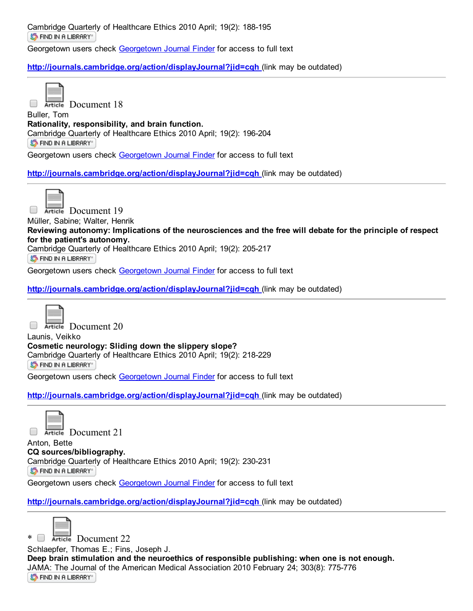Cambridge Quarterly of Healthcare Ethics 2010 April; 19(2): 188-195 **STEIND IN A LIBRARY** 

Georgetown users check [Georgetown](http://ethicslab.org/openurl/gt/0000331382/) Journal Finder for access to full text

## <http://journals.cambridge.org/action/displayJournal?jid=cqh> (link may be outdated)



Article Document 18

Buller, Tom Rationality, responsibility, and brain function. Cambridge Quarterly of Healthcare Ethics 2010 April; 19(2): 196204 S FIND IN A LIBRARY"

Georgetown users check [Georgetown](http://ethicslab.org/openurl/gt/0000331381/) Journal Finder for access to full text

<http://journals.cambridge.org/action/displayJournal?jid=cqh> (link may be outdated)



Article Document 19

Müller, Sabine; Walter, Henrik

Reviewing autonomy: Implications of the neurosciences and the free will debate for the principle of respect for the patient's autonomy.

Cambridge Quarterly of Healthcare Ethics 2010 April; 19(2): 205217

**S** FIND IN A LIBRARY

Georgetown users check [Georgetown](http://ethicslab.org/openurl/gt/0000331380/) Journal Finder for access to full text

<http://journals.cambridge.org/action/displayJournal?jid=cqh> (link may be outdated)



Article Document 20

Launis, Veikko Cosmetic neurology: Sliding down the slippery slope? Cambridge Quarterly of Healthcare Ethics 2010 April; 19(2): 218-229 **S** FIND IN A LIBRARY

Georgetown users check [Georgetown](http://ethicslab.org/openurl/gt/0000331379/) Journal Finder for access to full text

<http://journals.cambridge.org/action/displayJournal?jid=cqh> (link may be outdated)

Article Document 21

Anton, Bette CQ sources/bibliography. Cambridge Quarterly of Healthcare Ethics 2010 April; 19(2): 230-231 S FIND IN A LIBRARY"

Georgetown users check [Georgetown](http://ethicslab.org/openurl/gt/0000331374/) Journal Finder for access to full text

http://journals.cambridge.org/action/displayJournal?jid=cgh (link may be outdated)



\* Berticle Document 22

Schlaepfer, Thomas E.; Fins, Joseph J.

Deep brain stimulation and the neuroethics of responsible publishing: when one is not enough. JAMA: The Journal of the American Medical Association 2010 February 24; 303(8): 775-776 ST FIND IN A LIBRARY"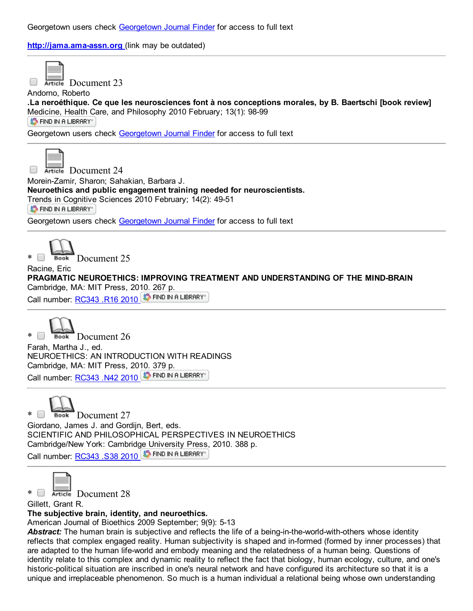http://jama.ama-assn.org (link may be outdated)



Article Document 23

Andorno, Roberto

.La neroéthique. Ce que les neurosciences font à nos conceptions morales, by B. Baertschi [book review] Medicine, Health Care, and Philosophy 2010 February; 13(1): 98-99 **ST FIND IN A LIBRARY** 

Georgetown users check [Georgetown](http://ethicslab.org/openurl/gt/0000330221/) Journal Finder for access to full text



Article Document 24

Morein-Zamir, Sharon; Sahakian, Barbara J.

Neuroethics and public engagement training needed for neuroscientists.

Trends in [Cognitive](http://ethicslab.org/openurl/wc/0000330208/) Sciences 2010 February; 14(2): 49-51

**S** FIND IN A LIBRARY

Georgetown users check [Georgetown](http://ethicslab.org/openurl/gt/0000330208/) Journal Finder for access to full text



\* Book Document 25 Racine, Eric

PRAGMATIC NEUROETHICS: IMPROVING TREATMENT AND UNDERSTANDING OF THE MIND-BRAIN Cambridge, MA: MIT Press, 2010. 267 p.

Call number: [RC343](http://catalog.library.georgetown.edu/search/c?SEARCH=RC343%20.R16%202010&sortdropdown=-&searchscope=4) .R16 2010 5 FIND IN A LIBRARY



\* Book Document 26 Farah, Martha J., ed. NEUROETHICS: AN INTRODUCTION WITH READINGS Cambridge, MA: MIT Press, 2010. 379 p. Call number: [RC343](http://catalog.library.georgetown.edu/search/c?SEARCH=RC343%20.N42%202010&sortdropdown=-&searchscope=4) .N42 2010 5 FIND IN A LIBRARY

 $\Box$  Book Document 27 Giordano, James J. and Gordijn, Bert, eds. SCIENTIFIC AND PHILOSOPHICAL PERSPECTIVES IN NEUROETHICS Cambridge/New York: Cambridge University Press, 2010. 388 p. Call number: [RC343](http://catalog.library.georgetown.edu/search/c?SEARCH=RC343%20.S38%202010&sortdropdown=-&searchscope=4) .S38 2010 ST FIND IN A LIBRARY



\* Bocument 28

Gillett, Grant R.

The subjective brain, identity, and neuroethics.

American Journal of Bioethics 2009 September; 9(9): 5-13

**Abstract:** The human brain is subjective and reflects the life of a being-in-the-world-with-others whose identity reflects that complex engaged reality. Human subjectivity is shaped and in-formed (formed by inner processes) that are adapted to the human life-world and embody meaning and the relatedness of a human being. Questions of identity relate to this complex and dynamic reality to reflect the fact that biology, human ecology, culture, and one's historic-political situation are inscribed in one's neural network and have configured its architecture so that it is a unique and irreplaceable phenomenon. So much is a human individual a relational being whose own understanding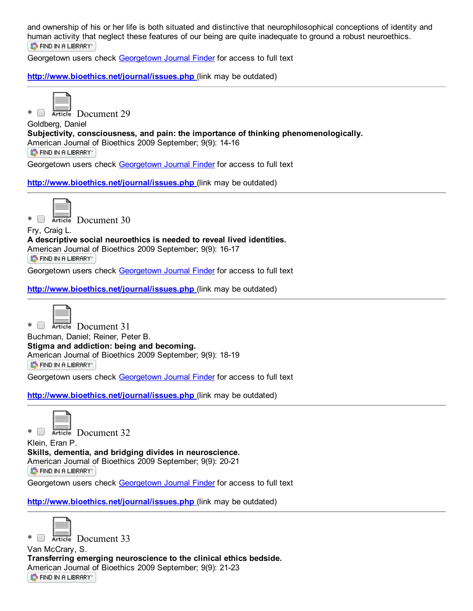and ownership of his or her life is both situated and distinctive that neurophilosophical conceptions of identity and human activity that neglect these features of our being are quite inadequate to ground a robust neuroethics. **S** FIND IN A LIBRARY

Georgetown users check [Georgetown](http://ethicslab.org/openurl/gt/0000327034/) Journal Finder for access to full text

<http://www.bioethics.net/journal/issues.php> (link may be outdated)

\* **Exites** Document 29

Goldberg, Daniel Subjectivity, consciousness, and pain: the importance of thinking phenomenologically. American Journal of Bioethics 2009 September; 9(9): 14-16 **S** FIND IN A LIBRARY

Georgetown users check [Georgetown](http://ethicslab.org/openurl/gt/0000327032/) Journal Finder for access to full text

<http://www.bioethics.net/journal/issues.php> (link may be outdated)



 $*$   $\Box$  Article Document 30

Fry, Craig L.

A descriptive social neuroethics is needed to reveal lived identities. American Journal of Bioethics 2009 September; 9(9): 16-17 **S** FIND IN A LIBRARY

Georgetown users check [Georgetown](http://ethicslab.org/openurl/gt/0000327031/) Journal Finder for access to full text

<http://www.bioethics.net/journal/issues.php> (link may be outdated)



\* Document 31 Buchman, Daniel; Reiner, Peter B. Stigma and addiction: being and becoming. [American](http://ethicslab.org/openurl/wc/0000327030/) Journal of Bioethics 2009 September; 9(9): 18-19 S FIND IN A LIBRARY"

Georgetown users check [Georgetown](http://ethicslab.org/openurl/gt/0000327030/) Journal Finder for access to full text

<http://www.bioethics.net/journal/issues.php> (link may be outdated)



\* **Example Document 32** 

Klein, Eran P. Skills, dementia, and bridging divides in neuroscience. American Journal of Bioethics 2009 September; 9(9): 20-21

**S** FIND IN A LIBRARY

Georgetown users check [Georgetown](http://ethicslab.org/openurl/gt/0000327029/) Journal Finder for access to full text

<http://www.bioethics.net/journal/issues.php> (link may be outdated)



\* Bocument 33

Van McCrary, S. Transferring emerging neuroscience to the clinical ethics bedside. American Journal of Bioethics 2009 September; 9(9): 21-23 ST FIND IN A LIBRARY"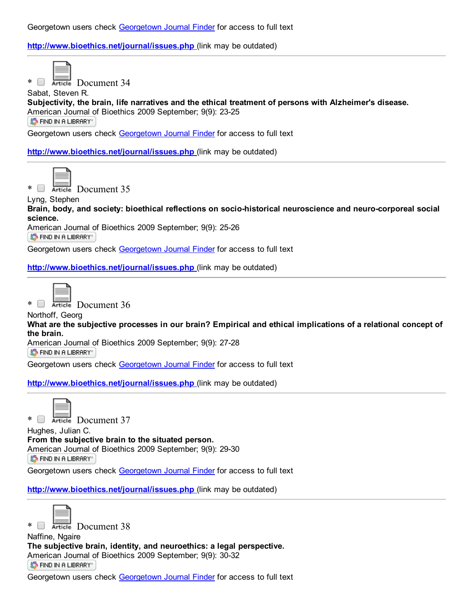<http://www.bioethics.net/journal/issues.php> (link may be outdated)



\* Retricle Document 34

Sabat, Steven R. Subjectivity, the brain, life narratives and the ethical treatment of persons with Alzheimer's disease. American Journal of Bioethics 2009 September; 9(9): 23-25 ST FIND IN A LIBRARY"

Georgetown users check [Georgetown](http://ethicslab.org/openurl/gt/0000327027/) Journal Finder for access to full text

<http://www.bioethics.net/journal/issues.php> (link may be outdated)



\* Retricle Document 35

Lyng, Stephen

Brain, body, and society: bioethical reflections on socio-historical neuroscience and neuro-corporeal social science.

[American](http://ethicslab.org/openurl/wc/0000327026/) Journal of Bioethics 2009 September; 9(9): 25-26 ST FIND IN A LIBRARY"

Georgetown users check [Georgetown](http://ethicslab.org/openurl/gt/0000327026/) Journal Finder for access to full text

<http://www.bioethics.net/journal/issues.php> (link may be outdated)



\* Article Document 36

Northoff, Georg

What are the subjective processes in our brain? Empirical and ethical implications of a relational concept of the brain.

[American](http://ethicslab.org/openurl/wc/0000327025/) Journal of Bioethics 2009 September; 9(9): 27-28

**S** FIND IN A LIBRARY

Georgetown users check [Georgetown](http://ethicslab.org/openurl/gt/0000327025/) Journal Finder for access to full text

<http://www.bioethics.net/journal/issues.php> (link may be outdated)

\* Retricle Document 37

Hughes, Julian C. From the subjective brain to the situated person. American Journal of Bioethics 2009 September; 9(9): 29-30 S FIND IN A LIBRARY"

Georgetown users check [Georgetown](http://ethicslab.org/openurl/gt/0000327024/) Journal Finder for access to full text

<http://www.bioethics.net/journal/issues.php> (link may be outdated)



\* Retricle Document 38

Naffine, Ngaire The subjective brain, identity, and neuroethics: a legal perspective. American Journal of Bioethics 2009 September; 9(9): 30-32 ST FIND IN A LIBRARY"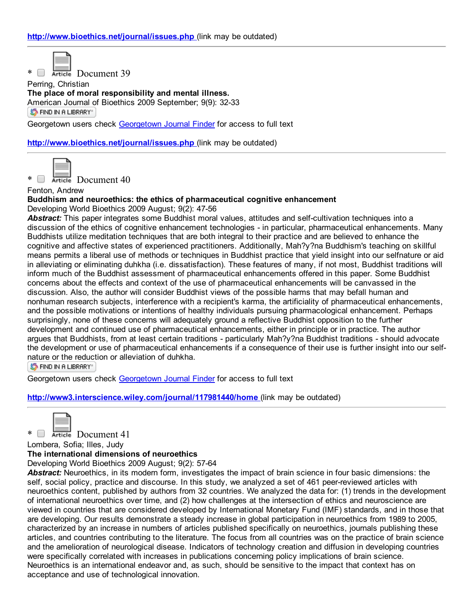\* **B** Article Document 39

Perring, Christian The place of moral responsibility and mental illness. American Journal of Bioethics 2009 September; 9(9): 32-33 **S** FIND IN A LIBRARY"

Georgetown users check [Georgetown](http://ethicslab.org/openurl/gt/0000327022/) Journal Finder for access to full text

<http://www.bioethics.net/journal/issues.php> (link may be outdated)



\* Reticle Document 40

Fenton, Andrew

Buddhism and neuroethics: the ethics of pharmaceutical cognitive enhancement

Developing World Bioethics 2009 August; 9(2): 47-56

Abstract: This paper integrates some Buddhist moral values, attitudes and self-cultivation techniques into a discussion of the ethics of cognitive enhancement technologies - in particular, pharmaceutical enhancements. Many Buddhists utilize meditation techniques that are both integral to their practice and are believed to enhance the cognitive and affective states of experienced practitioners. Additionally, Mah?y?na Buddhism's teaching on skillful means permits a liberal use of methods or techniques in Buddhist practice that yield insight into our selfnature or aid in alleviating or eliminating duhkha (i.e. dissatisfaction). These features of many, if not most, Buddhist traditions will inform much of the Buddhist assessment of pharmaceutical enhancements offered in this paper. Some Buddhist concerns about the effects and context of the use of pharmaceutical enhancements will be canvassed in the discussion. Also, the author will consider Buddhist views of the possible harms that may befall human and nonhuman research subjects, interference with a recipient's karma, the artificiality of pharmaceutical enhancements, and the possible motivations or intentions of healthy individuals pursuing pharmacological enhancement. Perhaps surprisingly, none of these concerns will adequately ground a reflective Buddhist opposition to the further development and continued use of pharmaceutical enhancements, either in principle or in practice. The author argues that Buddhists, from at least certain traditions - particularly Mah?y?na Buddhist traditions - should advocate the development or use of pharmaceutical enhancements if a consequence of their use is further insight into our selfnature or the reduction or alleviation of duhkha.

**ST FIND IN A LIBRARY** 

Georgetown users check [Georgetown](http://ethicslab.org/openurl/gt/0000326538/) Journal Finder for access to full text

<http://www3.interscience.wiley.com/journal/117981440/home> (link may be outdated)

\* Retricle Document 41

Lombera, Sofia; Illes, Judy

The international dimensions of neuroethics

Developing World Bioethics 2009 August; 9(2): 57-64

*Abstract:* Neuroethics, in its modern form, investigates the impact of brain science in four basic dimensions: the self, social policy, practice and discourse. In this study, we analyzed a set of 461 peerreviewed articles with neuroethics content, published by authors from 32 countries. We analyzed the data for: (1) trends in the development of international neuroethics over time, and (2) how challenges at the intersection of ethics and neuroscience are viewed in countries that are considered developed by International Monetary Fund (IMF) standards, and in those that are developing. Our results demonstrate a steady increase in global participation in neuroethics from 1989 to 2005, characterized by an increase in numbers of articles published specifically on neuroethics, journals publishing these articles, and countries contributing to the literature. The focus from all countries was on the practice of brain science and the amelioration of neurological disease. Indicators of technology creation and diffusion in developing countries were specifically correlated with increases in publications concerning policy implications of brain science. Neuroethics is an international endeavor and, as such, should be sensitive to the impact that context has on acceptance and use of technological innovation.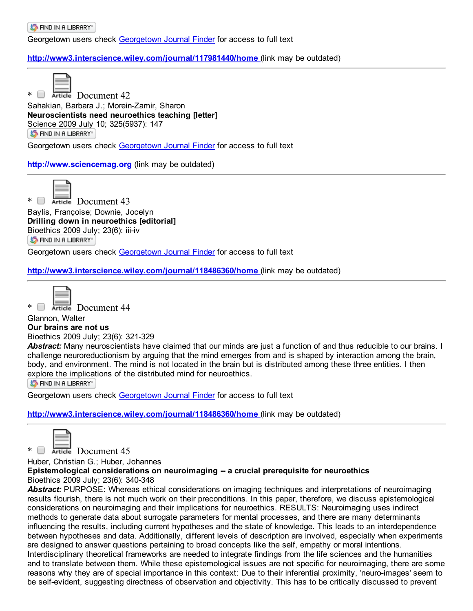S FIND IN A LIBRARY"

Georgetown users check [Georgetown](http://ethicslab.org/openurl/gt/0000326536/) Journal Finder for access to full text

## <http://www3.interscience.wiley.com/journal/117981440/home> (link may be outdated)



\* Retricle Document 42

Sahakian, Barbara J.; Morein-Zamir, Sharon Neuroscientists need neuroethics teaching [letter] Science 2009 July 10; 325(5937): 147 ST FIND IN A LIBRARY"

Georgetown users check [Georgetown](http://ethicslab.org/openurl/gt/0000326422/) Journal Finder for access to full text

## [http://www.sciencemag.org](http://www.sciencemag.org/) (link may be outdated)



\* **Exercise** Document 43 Baylis, Françoise; Downie, Jocelyn Drilling down in neuroethics [editorial] [Bioethics](http://ethicslab.org/openurl/wc/0000326148/) 2009 July; 23(6): iii-iv

ST FIND IN A LIBRARY"

Georgetown users check [Georgetown](http://ethicslab.org/openurl/gt/0000326148/) Journal Finder for access to full text

<http://www3.interscience.wiley.com/journal/118486360/home> (link may be outdated)



\* Retricle Document 44

## Glannon, Walter

Our brains are not us

Bioethics 2009 July; 23(6): 321-329

*Abstract:* Many neuroscientists have claimed that our minds are just a function of and thus reducible to our brains. I challenge neuroreductionism by arguing that the mind emerges from and is shaped by interaction among the brain, body, and environment. The mind is not located in the brain but is distributed among these three entities. I then explore the [implicat](http://ethicslab.org/openurl/wc/0000326147/)ions of the distributed mind for neuroethics.

**S** FIND IN A LIBRARY"

Georgetown users check [Georgetown](http://ethicslab.org/openurl/gt/0000326147/) Journal Finder for access to full text

<http://www3.interscience.wiley.com/journal/118486360/home> (link may be outdated)



Article Document 45

Huber, Christian G.; Huber, Johannes

Epistemological considerations on neuroimaging -- a crucial prerequisite for neuroethics Bioethics 2009 July; 23(6): 340-348

*Abstract:* PURPOSE: Whereas ethical considerations on imaging techniques and interpretations of neuroimaging results flourish, there is not much work on their preconditions. In this paper, therefore, we discuss epistemological considerations on neuroimaging and their implications for neuroethics. RESULTS: Neuroimaging uses indirect methods to generate data about surrogate parameters for mental processes, and there are many determinants influencing the results, including current hypotheses and the state of knowledge. This leads to an interdependence between hypotheses and data. Additionally, different levels of description are involved, especially when experiments are designed to answer questions pertaining to broad concepts like the self, empathy or moral intentions. Interdisciplinary theoretical frameworks are needed to integrate findings from the life sciences and the humanities and to translate between them. While these epistemological issues are not specific for neuroimaging, there are some reasons why they are of special importance in this context: Due to their inferential proximity, 'neuro-images' seem to be self-evident, suggesting directness of observation and objectivity. This has to be critically discussed to prevent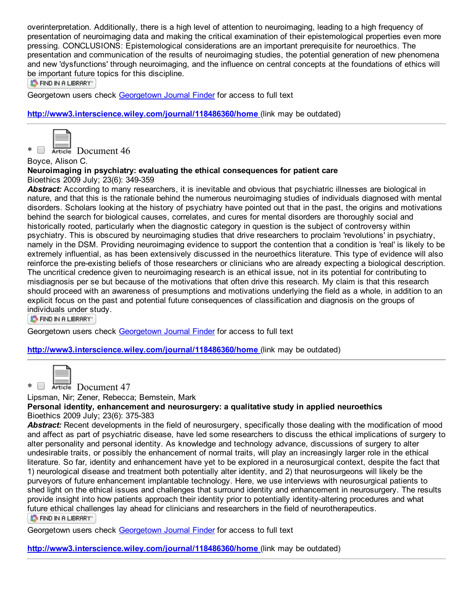overinterpretation. Additionally, there is a high level of attention to neuroimaging, leading to a high frequency of presentation of neuroimaging data and making the critical examination of their epistemological properties even more pressing. CONCLUSIONS: Epistemological considerations are an important prerequisite for neuroethics. The presentation and communication of the results of neuroimaging studies, the potential generation of new phenomena and new 'dysfunctions' through neuroimaging, and the influence on central concepts at the foundations of ethics will be important future topics for this discipline.

ST FIND IN A LIBRARY"

Georgetown users check [Georgetown](http://ethicslab.org/openurl/gt/0000326145/) Journal Finder for access to full text

<http://www3.interscience.wiley.com/journal/118486360/home> (link may be outdated)



 $*$   $\Box$  Article Document 46

Boyce, Alison C.

#### Neuroimaging in psychiatry: evaluating the ethical consequences for patient care Bioethics 2009 July; 23(6): 349-359

*Abstract:* According to many researchers, it is inevitable and obvious that psychiatric illnesses are biological in nature, and that this is the rationale behind the numerous neuroimaging studies of individuals diagnosed with mental disorders. Scholars looking at the history of psychiatry have pointed out that in the past, the origins and motivations behind the search for biological causes, correlates, and cures for mental disorders are thoroughly social and historically rooted, particularly when the diagnostic category in question is the subject of controversy within psychiatry. This is obscured by neuroimaging studies that drive researchers to proclaim 'revolutions' in psychiatry, namely in the DSM. Providing neuroimaging evidence to support the contention that a condition is 'real' is likely to be extremely influential, as has been extensively discussed in the neuroethics literature. This type of evidence will also reinforce the pre-existing beliefs of those researchers or clinicians who are already expecting a biological description. The uncritical credence given to neuroimaging research is an ethical issue, not in its potential for contributing to misdiagnosis per se but because of the motivations that often drive this research. My claim is that this research should proceed with an awareness of presumptions and motivations underlying the field as a whole, in addition to an explicit focus on the past and potential future consequences of classification and diagnosis on the groups of individuals under study.

**S** FIND IN A LIBRARY"

Georgetown users check [Georgetown](http://ethicslab.org/openurl/gt/0000326144/) Journal Finder for access to full text

<http://www3.interscience.wiley.com/journal/118486360/home> (link may be outdated)



\* **Exercise** Document 47

Lipsman, Nir; Zener, Rebecca; Bernstein, Mark

Personal identity, enhancement and neurosurgery: a qualitative study in applied neuroethics Bioethics 2009 July; 23(6): 375-383

*Abstract:* Recent developments in the field of neurosurgery, specifically those dealing with the modification of mood and affect as part of psychiatric disease, have led some researchers to discuss the ethical implications of surgery to alter personality and personal identity. As knowledge and technology advance, discussions of surgery to alter undesirable traits, or possibly the enhancement of normal traits, will play an increasingly larger role in the ethical literature. So far, identity and enhancement have yet to be explored in a neurosurgical context, despite the fact that 1) neurological disease and treatment both potentially alter identity, and 2) that neurosurgeons will likely be the purveyors of future enhancement implantable technology. Here, we use interviews with neurosurgical patients to shed light on the ethical issues and challenges that surround identity and enhancement in neurosurgery. The results provide insight into how patients approach their identity prior to potentially identity-altering procedures and what future ethical challenges lay ahead for clinicians and researchers in the field of neurotherapeutics. S FIND IN A LIBRARY"

Georgetown users check [Georgetown](http://ethicslab.org/openurl/gt/0000326142/) Journal Finder for access to full text

<http://www3.interscience.wiley.com/journal/118486360/home> (link may be outdated)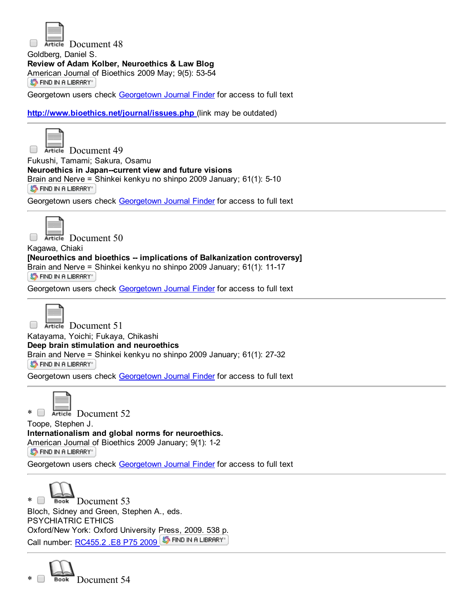

Article Document 48

Goldberg, Daniel S. Review of Adam Kolber, Neuroethics & Law Blog

[American](http://ethicslab.org/openurl/wc/0000325199/) Journal of Bioethics 2009 May; 9(5): 53-54

ST FIND IN A LIBRARY"

Georgetown users check [Georgetown](http://ethicslab.org/openurl/gt/0000325199/) Journal Finder for access to full text

<http://www.bioethics.net/journal/issues.php> (link may be outdated)



 $\Box$ Article Document 49 Fukushi, Tamami; Sakura, Osamu Neuroethics in Japan--current view and future visions Brain and Nerve = Shinkei kenkyu no shinpo 2009 January; 61(1): 5-10 ST FIND IN A LIBRARY

Georgetown users check [Georgetown](http://ethicslab.org/openurl/gt/0000322986/) Journal Finder for access to full text



Article Document 50

Kagawa, Chiaki [Neuroethics and bioethics -- implications of Balkanization controversy] Brain and Nerve = Shinkei kenkyu no shinpo 2009 January; 61(1): 11-17 ST FIND IN A LIBRARY"

[Georgetown](http://ethicslab.org/openurl/gt/0000322985/) users check Georgetown Journal Finder for access to full text



Article Document 51 Katayama, Yoichi; Fukaya, Chikashi Deep brain stimulation and neuroethics Brain and [Nerve](http://ethicslab.org/openurl/wc/0000322983/) = Shinkei kenkyu no shinpo 2009 January; 61(1): 27-32 ST FIND IN A LIBRARY"

Georgetown users check [Georgetown](http://ethicslab.org/openurl/gt/0000322983/) Journal Finder for access to full text



 $*$   $\Box$  Article Document 52

Toope, Stephen J. Internationalism and global norms for neuroethics. [American](http://ethicslab.org/openurl/wc/0000322808/) Journal of Bioethics 2009 January; 9(1): 1-2

ST FIND IN A LIBRARY"

Georgetown users check [Georgetown](http://ethicslab.org/openurl/gt/0000322808/) Journal Finder for access to full text



\* Book Document 53 Bloch, Sidney and Green, Stephen A., eds. PSYCHIATRIC ETHICS Oxford/New York: Oxford University Press, 2009. 538 p. Call number: [RC455.2](http://catalog.library.georgetown.edu/search/c?SEARCH=RC455.2%20.E8%20P75%202009&sortdropdown=-&searchscope=4) .E8 P75 2009 5 FIND IN A LIBRARY

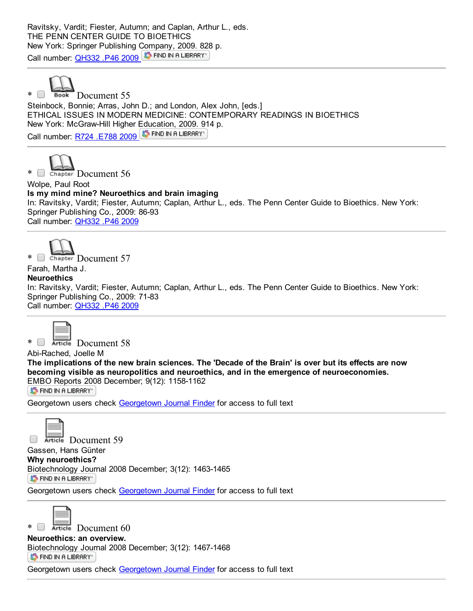Ravitsky, Vardit; Fiester, Autumn; and Caplan, Arthur L., eds. THE PENN CENTER GUIDE TO BIOETHICS New York: Springer Publishing Company, 2009. 828 p. Call number: [QH332](http://catalog.library.georgetown.edu/search/c?SEARCH=QH332%20.P46%202009&sortdropdown=-&searchscope=4) .P46 2009 ST FIND IN A LIBRARY



\* Book Document 55

Steinbock, Bonnie; Arras, John D.; and London, Alex John, [eds.] ETHICAL ISSUES IN MODERN MEDICINE: CONTEMPORARY READINGS IN BIOETHICS New York: McGrawHill Higher Education, 2009. 914 p. Call number: R724 [.E788](http://catalog.library.georgetown.edu/search/c?SEARCH=R724%20.E788%202009&sortdropdown=-&searchscope=4) 2009 ST FIND IN A LIBRARY



Wolpe, Paul Root Is my mind mine? Neuroethics and brain imaging In: Ravitsky, Vardit; Fiester, Autumn; Caplan, Arthur L., eds. The Penn Center Guide to Bioethics. New York: Springer Publishing Co., 2009: 86-93 Call number: [QH332](http://catalog.library.georgetown.edu/search/c?SEARCH=QH332%20.P46%202009&sortdropdown=-&searchscope=4) .P46 2009



Farah, Martha J.

## **Neuroethics**

In: Ravitsky, Vardit; Fiester, Autumn; Caplan, Arthur L., eds. The Penn Center Guide to Bioethics. New York: Springer Publishing Co., 2009: 71-83 Call number: [QH332](http://catalog.library.georgetown.edu/search/c?SEARCH=QH332%20.P46%202009&sortdropdown=-&searchscope=4) .P46 2009



\* Document 58

Abi-Rached, Joelle M

The implications of the new brain sciences. The 'Decade of the Brain' is over but its effects are now becoming visible as neuropolitics and neuroethics, and in the emergence of neuroeconomies. EMBO Reports 2008 December; 9(12): 1158-1162

S FIND IN A LIBRARY"

[Georgetown](http://ethicslab.org/openurl/gt/0000320938/) users check Georgetown Journal Finder for access to full text



Article Document 59

Gassen, Hans Günter

Why neuroethics? Biotechnology Journal 2008 December; 3(12): 1463-1465 **S** FIND IN A LIBRARY

Georgetown users check [Georgetown](http://ethicslab.org/openurl/gt/0000320905/) Journal Finder for access to full text



 $*$   $\Box$  Article Document 60

Neuroethics: an overview.

[Biotechnology](http://ethicslab.org/openurl/wc/0000320904/) Journal 2008 December; 3(12): 1467-1468

ST FIND IN A LIBRARY"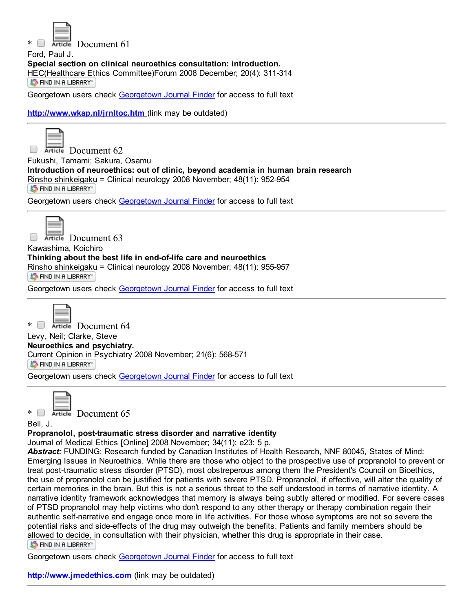

Article Document 61

Ford, Paul J.

Special section on clinical neuroethics consultation: introduction.

[HEC\(Healthcare](http://ethicslab.org/openurl/wc/0000320667/) Ethics Committee)Forum 2008 December; 20(4): 311-314 **S** FIND IN A LIBRARY"

Georgetown users check [Georgetown](http://ethicslab.org/openurl/gt/0000320667/) Journal Finder for access to full text

<http://www.wkap.nl/jrnltoc.htm> (link may be outdated)



Article Document 62  $\Box$ Fukushi, Tamami; Sakura, Osamu Introduction of neuroethics: out of clinic, beyond academia in human brain research Rinsho [shinkeigaku](http://ethicslab.org/openurl/wc/0000320288/) = Clinical neurology 2008 November; 48(11): 952-954 **S** FIND IN A LIBRARY"

Georgetown users check [Georgetown](http://ethicslab.org/openurl/gt/0000320288/) Journal Finder for access to full text



Article Document 63

Kawashima, Koichiro Thinking about the best life in end-of-life care and neuroethics Rinsho shinkeigaku = Clinical neurology 2008 November; 48(11): 955-957 ST FIND IN A LIBRARY"

[Georgetown](http://ethicslab.org/openurl/gt/0000320287/) users check Georgetown Journal Finder for access to full text



\* Retire Document 64 Levy, Neil; Clarke, Steve Neuroethics and psychiatry. Current [Opinion](http://ethicslab.org/openurl/wc/0000320206/) in Psychiatry 2008 November; 21(6): 568-571 **S** FIND IN A LIBRARY

Georgetown users check [Georgetown](http://ethicslab.org/openurl/gt/0000320206/) Journal Finder for access to full text



 $*$   $\Box$  Article Document 65

Bell, J.

## Propranolol, post-traumatic stress disorder and narrative identity

Journal of Medical Ethics [Online] 2008 November; 34(11): e23: 5 p.

*Abstract:* FUNDING: Research funded by Canadian Institutes of Health Research, NNF 80045, States of Mind: Emerging Issues in Neuroethics. While there are those who object to the prospective use of propranolol to prevent or treat post-traumatic stress disorder (PTSD), most obstreperous among them the President's Council on Bioethics, the use of propranolol can be justified for patients with severe PTSD. Propranolol, if effective, will alter the quality of certain memories in the brain. But this is not a serious threat to the self understood in terms of narrative identity. A narrative identity framework acknowledges that memory is always being subtly altered or modified. For severe cases of PTSD propranolol may help victims who don't respond to any other therapy or therapy combination regain their authentic self-narrative and engage once more in life activities. For those whose symptoms are not so severe the potential risks and side-effects of the drug may outweigh the benefits. Patients and family members should be [allowed](http://ethicslab.org/openurl/wc/0000320030/) to decide, in consultation with their physician, whether this drug is appropriate in their case. **ST FIND IN A LIBRARY** 

Georgetown users check [Georgetown](http://ethicslab.org/openurl/gt/0000320030/) Journal Finder for access to full text

[http://www.jmedethics.com](http://www.jmedethics.com/) (link may be outdated)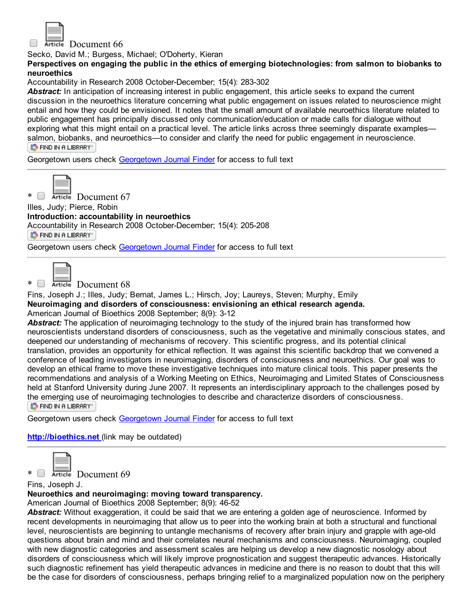

Article Document 66

Secko, David M.; Burgess, Michael; O'Doherty, Kieran

Perspectives on engaging the public in the ethics of emerging biotechnologies: from salmon to biobanks to neuroethics

Accountability in Research 2008 October-December; 15(4): 283-302

Abstract: In anticipation of increasing interest in public engagement, this article seeks to expand the current discussion in the neuroethics literature concerning what public engagement on issues related to neuroscience might entail and how they could be envisioned. It notes that the small amount of available neuroethics literature related to public engagement has principally discussed only communication/education or made calls for dialogue without exploring what this might entail on a practical level. The article links across three seemingly disparate examples salmon, [biobanks,](http://ethicslab.org/openurl/wc/0000319541/) and neuroethics—to consider and clarify the need for public engagement in neuroscience. S FIND IN A LIBRARY"

[Georgetown](http://ethicslab.org/openurl/gt/0000319541/) users check Georgetown Journal Finder for access to full text



\* Reticle Document 67

Illes, Judy; Pierce, Robin

Introduction: accountability in neuroethics

[Accountability](http://ethicslab.org/openurl/wc/0000319536/) in Research 2008 October-December; 15(4): 205-208

**S** FIND IN A LIBRARY"

Georgetown users check [Georgetown](http://ethicslab.org/openurl/gt/0000319536/) Journal Finder for access to full text



Article Document 68

Fins, Joseph J.; Illes, Judy; Bernat, James L.; Hirsch, Joy; Laureys, Steven; Murphy, Emily Neuroimaging and disorders of consciousness: envisioning an ethical research agenda. American Journal of Bioethics 2008 September; 8(9): 3-12

Abstract: The application of neuroimaging technology to the study of the injured brain has transformed how neuroscientists understand disorders of consciousness, such as the vegetative and minimally conscious states, and deepened our understanding of mechanisms of recovery. This scientific progress, and its potential clinical translation, provides an opportunity for ethical reflection. It was against this scientific backdrop that we convened a conference of leading investigators in neuroimaging, disorders of consciousness and neuroethics. Our goal was to develop an ethical frame to move these investigative techniques into mature clinical tools. This paper presents the recommendations and analysis of a Working Meeting on Ethics, Neuroimaging and Limited States of Consciousness held at Stanford University during June 2007. It represents an interdisciplinary approach to the challenges posed by the emerging use of neuroimaging technologies to describe and characterize disorders of consciousness. ST FIND IN A LIBRARY"

Georgetown users check [Georgetown](http://ethicslab.org/openurl/gt/0000318804/) Journal Finder for access to full text

[http://bioethics.net](http://bioethics.net/) (link may be outdated)



\* Reticle Document 69

Fins, Joseph J.

Neuroethics and neuroimaging: moving toward transparency.

American Journal of Bioethics 2008 September; 8(9): 46-52

*Abstract:* Without exaggeration, it could be said that we are entering a golden age of neuroscience. Informed by recent developments in neuroimaging that allow us to peer into the working brain at both a structural and functional level, neuroscientists are beginning to untangle mechanisms of recovery after brain injury and grapple with age-old questions about brain and mind and their correlates neural mechanisms and consciousness. Neuroimaging, coupled with new diagnostic categories and assessment scales are helping us develop a new diagnostic nosology about disorders of consciousness which will likely improve prognostication and suggest therapeutic advances. Historically such diagnostic refinement has yield therapeutic advances in medicine and there is no reason to doubt that this will be the case for disorders of consciousness, perhaps bringing relief to a marginalized population now on the periphery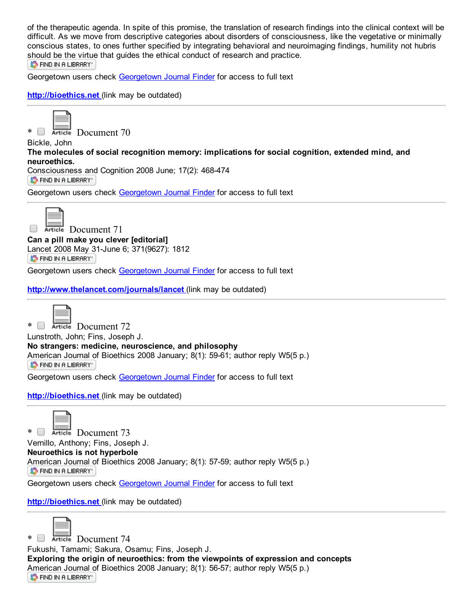of the therapeutic agenda. In spite of this promise, the translation of research findings into the clinical context will be difficult. As we move from descriptive categories about disorders of consciousness, like the vegetative or minimally conscious states, to ones further specified by integrating behavioral and neuroimaging findings, humility not hubris [should](http://ethicslab.org/openurl/wc/0000318789/) be the virtue that guides the ethical conduct of research and practice. S FIND IN A LIBRARY"

Georgetown users check [Georgetown](http://ethicslab.org/openurl/gt/0000318789/) Journal Finder for access to full text

## [http://bioethics.net](http://bioethics.net/) (link may be outdated)





Bickle, John The molecules of social recognition memory: implications for social cognition, extended mind, and neuroethics. Consciousness and Cognition 2008 June; 17(2): 468-474

**S** FIND IN A LIBRARY

Georgetown users check [Georgetown](http://ethicslab.org/openurl/gt/0000316960/) Journal Finder for access to full text



Article Document 71 Can a pill make you clever [editorial] Lancet 2008 May 31-June 6; 371(9627): 1812

**S** FIND IN A LIBRARY

Georgetown users check [Georgetown](http://ethicslab.org/openurl/gt/0000316668/) Journal Finder for access to full text

<http://www.thelancet.com/journals/lancet> (link may be outdated)



\* Document 72

Lunstroth, John; Fins, Joseph J. No strangers: medicine, neuroscience, and philosophy [American](http://ethicslab.org/openurl/wc/0000313705/) Journal of Bioethics 2008 January; 8(1): 59-61; author reply W5(5 p.) **S** FIND IN A LIBRARY

Georgetown users check [Georgetown](http://ethicslab.org/openurl/gt/0000313705/) Journal Finder for access to full text

[http://bioethics.net](http://bioethics.net/) (link may be outdated)



\* Document 73 Vernillo, Anthony; Fins, Joseph J. Neuroethics is not hyperbole [American](http://ethicslab.org/openurl/wc/0000313704/) Journal of Bioethics 2008 January; 8(1): 57-59; author reply W5(5 p.) S FIND IN A LIBRARY"

Georgetown users check [Georgetown](http://ethicslab.org/openurl/gt/0000313704/) Journal Finder for access to full text

[http://bioethics.net](http://bioethics.net/) (link may be outdated)



\* Reticle Document 74

Fukushi, Tamami; Sakura, Osamu; Fins, Joseph J. Exploring the origin of neuroethics: from the viewpoints of expression and concepts American Journal of Bioethics 2008 January; 8(1): 56-57; author reply W5(5 p.) ST FIND IN A LIBRARY"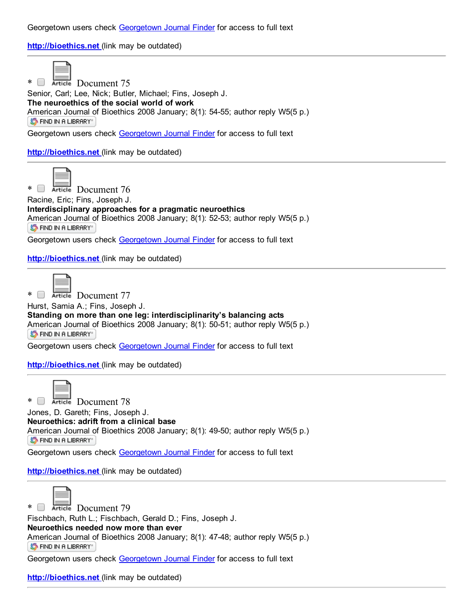Georgetown users check [Georgetown](http://ethicslab.org/openurl/gt/0000313703/) Journal Finder for access to full text

[http://bioethics.net](http://bioethics.net/) (link may be outdated)



\* Reticle Document 75

Senior, Carl; Lee, Nick; Butler, Michael; Fins, Joseph J. The neuroethics of the social world of work American Journal of Bioethics 2008 January; 8(1): 54-55; author reply W5(5 p.) ST FIND IN A LIBRARY"

Georgetown users check [Georgetown](http://ethicslab.org/openurl/gt/0000313702/) Journal Finder for access to full text

[http://bioethics.net](http://bioethics.net/) (link may be outdated)



\* Retricle Document 76

Racine, Eric; Fins, Joseph J. Interdisciplinary approaches for a pragmatic neuroethics [American](http://ethicslab.org/openurl/wc/0000313701/) Journal of Bioethics 2008 January; 8(1): 52-53; author reply W5(5 p.)

ST FIND IN A LIBRARY"

Georgetown users check [Georgetown](http://ethicslab.org/openurl/gt/0000313701/) Journal Finder for access to full text

[http://bioethics.net](http://bioethics.net/) (link may be outdated)

\* Reticle Document 77

Hurst, Samia A.; Fins, Joseph J.

Standing on more than one leg: interdisciplinarity's balancing acts [American](http://ethicslab.org/openurl/wc/0000313700/) Journal of Bioethics 2008 January; 8(1): 50-51; author reply W5(5 p.) S FIND IN A LIBRARY"

Georgetown users check [Georgetown](http://ethicslab.org/openurl/gt/0000313700/) Journal Finder for access to full text

[http://bioethics.net](http://bioethics.net/) (link may be outdated)



\* Article Document 78

Jones, D. Gareth; Fins, Joseph J. Neuroethics: adrift from a clinical base [American](http://ethicslab.org/openurl/wc/0000313699/) Journal of Bioethics 2008 January; 8(1): 49-50; author reply W5(5 p.) ST FIND IN A LIBRARY"

Georgetown users check [Georgetown](http://ethicslab.org/openurl/gt/0000313699/) Journal Finder for access to full text

[http://bioethics.net](http://bioethics.net/) (link may be outdated)



\* Reticle Document 79

Fischbach, Ruth L.; Fischbach, Gerald D.; Fins, Joseph J. Neuroethics needed now more than ever American Journal of Bioethics 2008 January; 8(1): 47-48; author reply W5(5 p.) ST FIND IN A LIBRARY"

Georgetown users check [Georgetown](http://ethicslab.org/openurl/gt/0000313698/) Journal Finder for access to full text

[http://bioethics.net](http://bioethics.net/) (link may be outdated)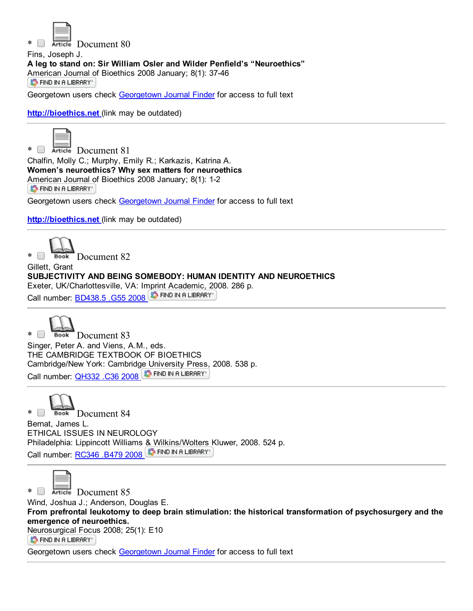

\* Document 80

Fins, Joseph J. A leg to stand on: Sir William Osler and Wilder Penfield's "Neuroethics" [American](http://ethicslab.org/openurl/wc/0000313697/) Journal of Bioethics 2008 January; 8(1): 37-46 **S** FIND IN A LIBRARY"

Georgetown users check [Georgetown](http://ethicslab.org/openurl/gt/0000313697/) Journal Finder for access to full text

[http://bioethics.net](http://bioethics.net/) (link may be outdated)



\* Article Document 81 Chalfin, Molly C.; Murphy, Emily R.; Karkazis, Katrina A. Women's neuroethics? Why sex matters for neuroethics [American](http://ethicslab.org/openurl/wc/0000313686/) Journal of Bioethics 2008 January; 8(1): 1-2 **S** FIND IN A LIBRARY"

Georgetown users check [Georgetown](http://ethicslab.org/openurl/gt/0000313686/) Journal Finder for access to full text

[http://bioethics.net](http://bioethics.net/) (link may be outdated)



Gillett, Grant SUBJECTIVITY AND BEING SOMEBODY: HUMAN IDENTITY AND NEUROETHICS Exeter, UK/Charlottesville, VA: Imprint Academic, 2008. 286 p. Call number: [BD438.5](http://catalog.library.georgetown.edu/search/c?SEARCH=BD438.5%20.G55%202008&sortdropdown=-&searchscope=4) .G55 2008 5 FIND IN A LIBRARY



\* Book Document 83 Singer, Peter A. and Viens, A.M., eds. THE CAMBRIDGE TEXTBOOK OF BIOETHICS Cambridge/New York: Cambridge [University](http://ethicslab.org/openurl/wc/0000313038/) Press, 2008. 538 p. Call number: [QH332](http://catalog.library.georgetown.edu/search/c?SEARCH=QH332%20.C36%202008&sortdropdown=-&searchscope=4) .C36 2008 ST FIND IN A LIBRARY

\* Book Document 84

Bernat, James L. ETHICAL ISSUES IN NEUROLOGY Philadelphia: Lippincott Williams & [Wilkins/Wolters](http://ethicslab.org/openurl/wc/0000313026/) Kluwer, 2008. 524 p. Call number: [RC346](http://catalog.library.georgetown.edu/search/c?SEARCH=RC346%20.B479%202008&sortdropdown=-&searchscope=4) .B479 2008 5 FIND IN A LIBRARY



\* Reticle Document 85

Wind, Joshua J.; Anderson, Douglas E.

From prefrontal leukotomy to deep brain stimulation: the historical transformation of psychosurgery and the emergence of neuroethics.

[Neurosurgical](http://ethicslab.org/openurl/wc/0000312120/) Focus 2008; 25(1): E10

ST FIND IN A LIBRARY"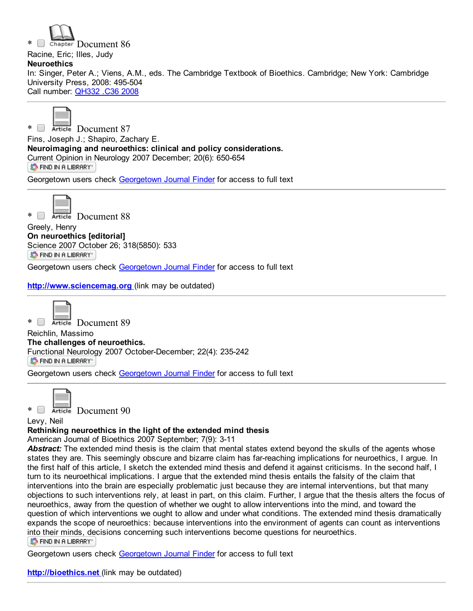Chapter Document 86 Racine, Eric; Illes, Judy **Neuroethics** In: Singer, Peter A.; Viens, A.M., eds. The Cambridge Textbook of Bioethics. Cambridge; New York: Cambridge University Press, 2008: 495-504 Call number: [QH332](http://catalog.library.georgetown.edu/search/c?SEARCH=QH332%20.C36%202008&sortdropdown=-&searchscope=4) .C36 2008



\* **Example Document 87** 

Fins, Joseph J.; Shapiro, Zachary E. Neuroimaging and neuroethics: clinical and policy considerations. Current [Opinion](http://ethicslab.org/openurl/wc/0000311359/) in Neurology 2007 December; 20(6): 650-654 ST FIND IN A LIBRARY"

Georgetown users check [Georgetown](http://ethicslab.org/openurl/gt/0000311359/) Journal Finder for access to full text



\* Document 88

Greely, Henry On neuroethics [editorial] Science 2007 October 26; 318(5850): 533 **S** FIND IN A LIBRARY"

Georgetown users check [Georgetown](http://ethicslab.org/openurl/gt/0000310319/) Journal Finder for access to full text

[http://www.sciencemag.org](http://www.sciencemag.org/) (link may be outdated)



\* Reticle Document 89

Reichlin, Massimo The challenges of neuroethics. [Functional](http://ethicslab.org/openurl/wc/0000310017/) Neurology 2007 October-December; 22(4): 235-242 S FIND IN A LIBRARY"

Georgetown users check [Georgetown](http://ethicslab.org/openurl/gt/0000310017/) Journal Finder for access to full text



\* **Example Document 90** 

Levy, Neil

## Rethinking neuroethics in the light of the extended mind thesis

American Journal of Bioethics 2007 September; 7(9): 3-11

*Abstract:* The extended mind thesis is the claim that mental states extend beyond the skulls of the agents whose states they are. This seemingly obscure and bizarre claim has far-reaching implications for neuroethics, I argue. In the first half of this article, I sketch the extended mind thesis and defend it against criticisms. In the second half, I turn to its neuroethical implications. I argue that the extended mind thesis entails the falsity of the claim that interventions into the brain are especially problematic just because they are internal interventions, but that many objections to such interventions rely, at least in part, on this claim. Further, I argue that the thesis alters the focus of neuroethics, away from the question of whether we ought to allow interventions into the mind, and toward the question of which interventions we ought to allow and under what conditions. The extended mind thesis dramatically expands the scope of neuroethics: because interventions into the environment of agents can count as interventions into their [minds,](http://ethicslab.org/openurl/wc/0000309115/) decisions concerning such interventions become questions for neuroethics. **S** FIND IN A LIBRARY"

Georgetown users check [Georgetown](http://ethicslab.org/openurl/gt/0000309115/) Journal Finder for access to full text

[http://bioethics.net](http://bioethics.net/) (link may be outdated)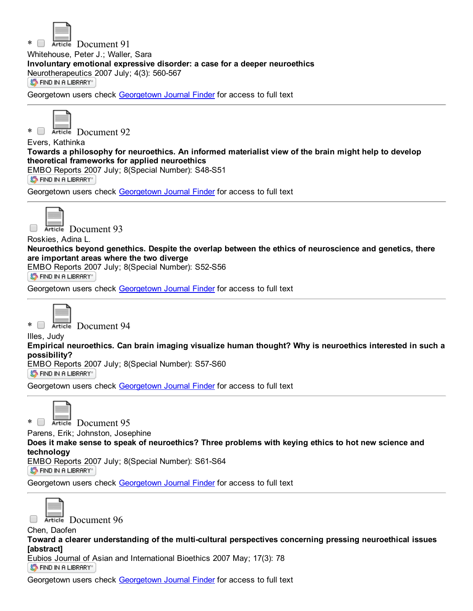

Article Document 91

Whitehouse, Peter J.; Waller, Sara

Involuntary emotional expressive disorder: a case for a deeper neuroethics

[Neurotherapeutics](http://ethicslab.org/openurl/wc/0000308218/) 2007 July; 4(3): 560-567

ST FIND IN A LIBRARY"

[Georgetown](http://ethicslab.org/openurl/gt/0000308218/) users check Georgetown Journal Finder for access to full text



\* Reticle Document 92

Evers, Kathinka Towards a philosophy for neuroethics. An informed materialist view of the brain might help to develop theoretical frameworks for applied neuroethics EMBO [Reports](http://ethicslab.org/openurl/wc/0000308152/) 2007 July; 8(Special Number): S48-S51 ST FIND IN A LIBRARY"

Georgetown users check [Georgetown](http://ethicslab.org/openurl/gt/0000308152/) Journal Finder for access to full text



Article Document 93  $\Box$ 

#### Roskies, Adina L.

Neuroethics beyond genethics. Despite the overlap between the ethics of neuroscience and genetics, there are important areas where the two diverge

EMBO Reports 2007 July; 8(Special Number): S52-S56

ST FIND IN A LIBRARY"

[Georgetown](http://ethicslab.org/openurl/gt/0000308151/) users check Georgetown Journal Finder for access to full text

\* Retricle Document 94

Illes, Judy

Empirical neuroethics. Can brain imaging visualize human thought? Why is neuroethics interested in such a possibility?

EMBO [Reports](http://ethicslab.org/openurl/wc/0000308150/) 2007 July; 8(Special Number): S57-S60 ST FIND IN A LIBRARY"

[Georgetown](http://ethicslab.org/openurl/gt/0000308150/) users check Georgetown Journal Finder for access to full text



\* Document 95

Parens, Erik; Johnston, Josephine

Does it make sense to speak of neuroethics? Three problems with keying ethics to hot new science and technology

EMBO [Reports](http://ethicslab.org/openurl/wc/0000308149/) 2007 July; 8(Special Number): S61-S64

**S** FIND IN A LIBRARY

Georgetown users check [Georgetown](http://ethicslab.org/openurl/gt/0000308149/) Journal Finder for access to full text



Article Document 96

Chen, Daofen Toward a clearer understanding of the multi-cultural perspectives concerning pressing neuroethical issues [abstract]

Eubios [Journal](http://ethicslab.org/openurl/wc/0000306774/) of Asian and International Bioethics 2007 May; 17(3): 78 S FIND IN A LIBRARY"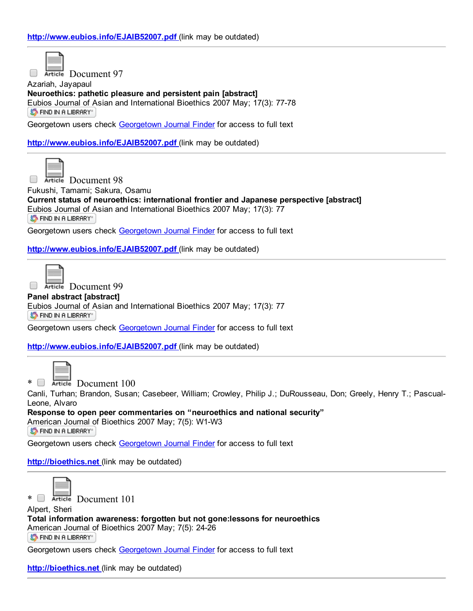$\Box$ 

Article Document 97

Azariah, Jayapaul Neuroethics: pathetic pleasure and persistent pain [abstract] Eubios Journal of Asian and International Bioethics 2007 May; 17(3): 77-78 **S** FIND IN A LIBRARY"

Georgetown users check [Georgetown](http://ethicslab.org/openurl/gt/0000306773/) Journal Finder for access to full text

<http://www.eubios.info/EJAIB52007.pdf> (link may be outdated)



**Executed Document 98** 

Fukushi, Tamami; Sakura, Osamu

Current status of neuroethics: international frontier and Japanese perspective [abstract] Eubios [Journal](http://ethicslab.org/openurl/wc/0000306772/) of Asian and International Bioethics 2007 May; 17(3): 77 S FIND IN A LIBRARY"

Georgetown users check [Georgetown](http://ethicslab.org/openurl/gt/0000306772/) Journal Finder for access to full text

<http://www.eubios.info/EJAIB52007.pdf> (link may be outdated)



 $\overline{\phantom{a}}$ 

Article Document 99

#### Panel abstract [abstract]

Eubios [Journal](http://ethicslab.org/openurl/wc/0000306771/) of Asian and International Bioethics 2007 May; 17(3): 77 **S** FIND IN A LIBRARY

Georgetown users check [Georgetown](http://ethicslab.org/openurl/gt/0000306771/) Journal Finder for access to full text

<http://www.eubios.info/EJAIB52007.pdf> (link may be outdated)



 $*$   $\Box$  Article Document 100

Canli, Turhan; Brandon, Susan; Casebeer, William; Crowley, Philip J.; DuRousseau, Don; Greely, Henry T.; Pascual-Leone, Alvaro

Response to open peer commentaries on "neuroethics and national security" [American](http://ethicslab.org/openurl/wc/0000306521/) Journal of Bioethics 2007 May; 7(5): W1-W3 ST FIND IN A LIBRARY"

Georgetown users check [Georgetown](http://ethicslab.org/openurl/gt/0000306521/) Journal Finder for access to full text

[http://bioethics.net](http://bioethics.net/) (link may be outdated)



\* **B** Article Document 101

Alpert, Sheri Total information awareness: forgotten but not gone:lessons for neuroethics American Journal of Bioethics 2007 May; 7(5): 24-26 S FIND IN A LIBRARY"

Georgetown users check [Georgetown](http://ethicslab.org/openurl/gt/0000306510/) Journal Finder for access to full text

[http://bioethics.net](http://bioethics.net/) (link may be outdated)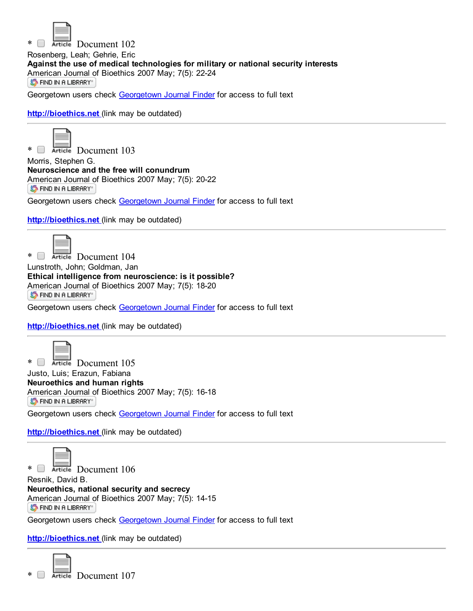

\* **B** Article Document 102 Rosenberg, Leah; Gehrie, Eric Against the use of medical technologies for military or national security interests [American](http://ethicslab.org/openurl/wc/0000306509/) Journal of Bioethics 2007 May; 7(5): 22-24 ST FIND IN A LIBRARY"

Georgetown users check [Georgetown](http://ethicslab.org/openurl/gt/0000306509/) Journal Finder for access to full text

[http://bioethics.net](http://bioethics.net/) (link may be outdated)



\* Reticle Document 103

Morris, Stephen G. Neuroscience and the free will conundrum [American](http://ethicslab.org/openurl/wc/0000306508/) Journal of Bioethics 2007 May; 7(5): 20-22 ST FIND IN A LIBRARY"

Georgetown users check [Georgetown](http://ethicslab.org/openurl/gt/0000306508/) Journal Finder for access to full text

[http://bioethics.net](http://bioethics.net/) (link may be outdated)



\* Document 104 Lunstroth, John; Goldman, Jan Ethical intelligence from neuroscience: is it possible?

[American](http://ethicslab.org/openurl/wc/0000306507/) Journal of Bioethics 2007 May; 7(5): 18-20

**S** FIND IN A LIBRARY

Georgetown users check [Georgetown](http://ethicslab.org/openurl/gt/0000306507/) Journal Finder for access to full text

[http://bioethics.net](http://bioethics.net/) (link may be outdated)



\* Document 105 Justo, Luis; Erazun, Fabiana Neuroethics and human rights American Journal of Bioethics 2007 May; 7(5): 16-18 ST FIND IN A LIBRARY" Georgetown users check [Georgetown](http://ethicslab.org/openurl/gt/0000306506/) Journal Finder for access to full text

[http://bioethics.net](http://bioethics.net/) (link may be outdated)



Resnik, David B. Neuroethics, national security and secrecy [American](http://ethicslab.org/openurl/wc/0000306505/) Journal of Bioethics 2007 May; 7(5): 14-15 **S** FIND IN A LIBRARY"

Georgetown users check [Georgetown](http://ethicslab.org/openurl/gt/0000306505/) Journal Finder for access to full text

[http://bioethics.net](http://bioethics.net/) (link may be outdated)

\* Reticle Document 107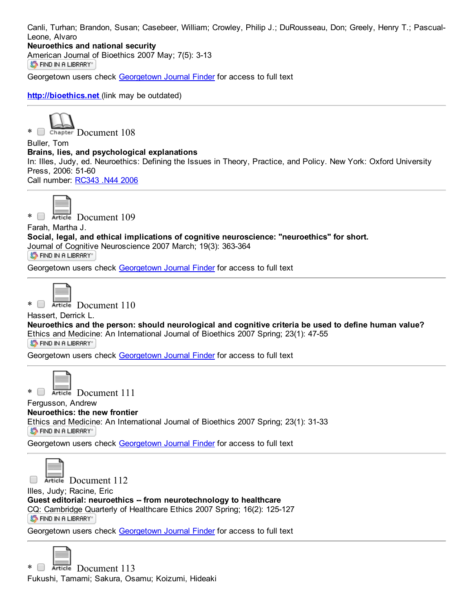Canli, Turhan; Brandon, Susan; Casebeer, William; Crowley, Philip J.; DuRousseau, Don; Greely, Henry T.; Pascual-Leone, Alvaro

## Neuroethics and national security

[American](http://ethicslab.org/openurl/wc/0000306504/) Journal of Bioethics 2007 May; 7(5): 3-13 ST FIND IN A LIBRARY"

Georgetown users check [Georgetown](http://ethicslab.org/openurl/gt/0000306504/) Journal Finder for access to full text

[http://bioethics.net](http://bioethics.net/) (link may be outdated)



\* Chapter Document 108

Buller, Tom Brains, lies, and psychological explanations In: Illes, Judy, ed. Neuroethics: Defining the Issues in Theory, Practice, and Policy. New York: Oxford University Press, 2006: 51-60 Call number: [RC343](http://catalog.library.georgetown.edu/search/c?SEARCH=RC343%20.N44%202006&sortdropdown=-&searchscope=4) .N44 2006



\* **B** Article Document 109

Farah, Martha J.

Social, legal, and ethical implications of cognitive neuroscience: "neuroethics" for short. Journal of Cognitive Neuroscience 2007 March; 19(3): 363-364

ST FIND IN A LIBRARY"

Georgetown users check [Georgetown](http://ethicslab.org/openurl/gt/0000305600/) Journal Finder for access to full text



\* **Extracted** Document 110

Hassert, Derrick L.

Neuroethics and the person: should neurological and cognitive criteria be used to define human value? Ethics and [Medicin](http://ethicslab.org/openurl/wc/0000305362/)e: An International Journal of Bioethics 2007 Spring; 23(1): 4755

**S** FIND IN A LIBRARY

Georgetown users check [Georgetown](http://ethicslab.org/openurl/gt/0000305362/) Journal Finder for access to full text



\* Document 111

Fergusson, Andrew

Neuroethics: the new frontier

Ethics and [Medicin](http://ethicslab.org/openurl/wc/0000305359/)e: An International Journal of Bioethics 2007 Spring; 23(1): 31-33 ST FIND IN A LIBRARY"

Georgetown users check [Georgetown](http://ethicslab.org/openurl/gt/0000305359/) Journal Finder for access to full text



Article Document 112

Illes, Judy; Racine, Eric Guest editorial: neuroethics -- from neurotechnology to healthcare CQ: Cambridge Quarterly of Healthcare Ethics 2007 Spring; 16(2): 125-127 ST FIND IN A LIBRARY"

Georgetown users check [Georgetown](http://ethicslab.org/openurl/gt/0000305082/) Journal Finder for access to full text

\* Reticle Document 113 Fukushi, Tamami; Sakura, Osamu; Koizumi, Hideaki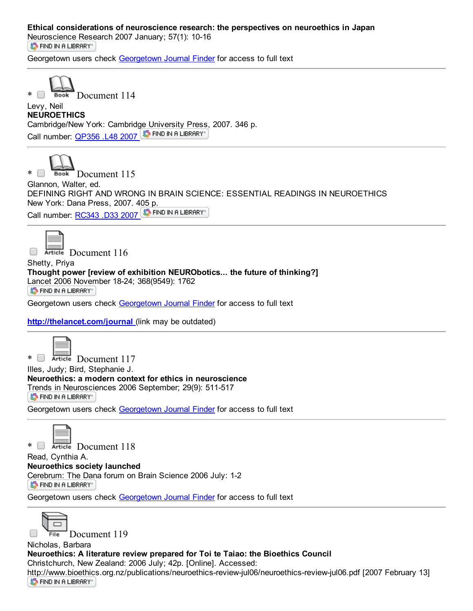## Ethical considerations of neuroscience research: the perspectives on neuroethics in Japan

[Neuroscience](http://ethicslab.org/openurl/wc/0000304074/) Research 2007 January; 57(1): 10-16 **S** FIND IN A LIBRARY

Georgetown users check [Georgetown](http://ethicslab.org/openurl/gt/0000304074/) Journal Finder for access to full text



Levy, Neil NEUROETHICS Cambridge/New York: Cambridge [University](http://ethicslab.org/openurl/wc/0000303365/) Press, 2007. 346 p. Call number: [QP356](http://catalog.library.georgetown.edu/search/c?SEARCH=QP356%20.L48%202007&sortdropdown=-&searchscope=4) .L48 2007 S FIND IN A LIBRARY



\* Book Document 115

Glannon, Walter, ed.

DEFINING RIGHT AND WRONG IN BRAIN SCIENCE: ESSENTIAL READINGS IN NEUROETHICS New York: Dana Press, 2007. [405](http://ethicslab.org/openurl/wc/0000303202/) p. Call number: [RC343](http://catalog.library.georgetown.edu/search/c?SEARCH=RC343%20.D33%202007&sortdropdown=-&searchscope=4) .D33 2007 ST FIND IN A LIBRARY



Article Document 116

Shetty, Priya Thought power [review of exhibition NEURObotics... the future of thinking?] [Lancet](http://ethicslab.org/openurl/wc/0000300709/) 2006 November 18-24; 368(9549): 1762 ST FIND IN A LIBRARY"

Georgetown users check [Georgetown](http://ethicslab.org/openurl/gt/0000300709/) Journal Finder for access to full text

<http://thelancet.com/journal> (link may be outdated)



\* Reticle Document 117 Illes, Judy; Bird, Stephanie J. Neuroethics: a modern context for ethics in neuroscience Trends in [Neuroscie](http://ethicslab.org/openurl/wc/0000299261/)nces 2006 September; 29(9): 511-517 **S** FIND IN A LIBRARY

Georgetown users check [Georgetown](http://ethicslab.org/openurl/gt/0000299261/) Journal Finder for access to full text



\* Document 118

Read, Cynthia A. Neuroethics society launched Cerebrum: The Dana forum on Brain Science 2006 July: 1-2 **S** FIND IN A LIBRARY"

Georgetown users check [Georgetown](http://ethicslab.org/openurl/gt/0000297771/) Journal Finder for access to full text



Document 119

Nicholas, Barbara Neuroethics: A literature review prepared for Toi te Taiao: the Bioethics Council Christchurch, New Zealand: 2006 July; 42p. [Online]. Accessed: [http://www.bioethics](http://ethicslab.org/openurl/wc/0000297670/).org.nz/publications/neuroethics-review-jul06/neuroethics-review-jul06.pdf [2007 February 13] ST FIND IN A LIBRARY"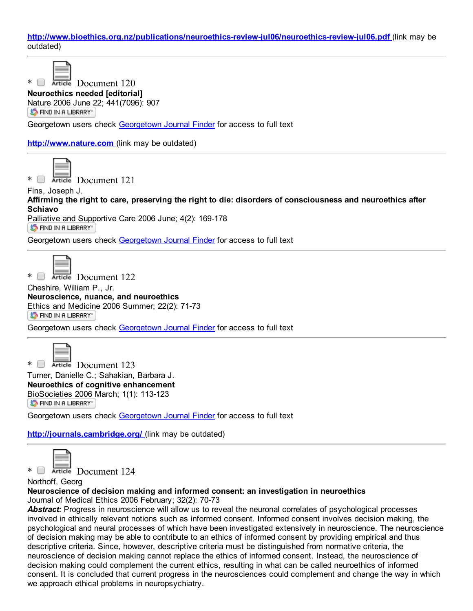http://www.bioethics.org.nz/publications/neuroethics-review-jul06/neuroethics-review-jul06.pdf (link may be outdated)

\* Document 120

Neuroethics needed [editorial] [Nature](http://ethicslab.org/openurl/wc/0000297481/) 2006 June 22; 441(7096): 907 ST FIND IN A LIBRARY"

Georgetown users check [Georgetown](http://ethicslab.org/openurl/gt/0000297481/) Journal Finder for access to full text

[http://www.nature.com](http://www.nature.com/) (link may be outdated)

\* Reticle Document 121

Fins, Joseph J. Affirming the right to care, preserving the right to die: disorders of consciousness and neuroethics after Schiavo

[Palliative](http://ethicslab.org/openurl/wc/0000297268/) and Supportive Care 2006 June; 4(2): 169-178 **ST FIND IN A LIBRARY** 

Georgetown users check [Georgetown](http://ethicslab.org/openurl/gt/0000297268/) Journal Finder for access to full text

\* Retricle Document 122

Cheshire, William P., Jr. Neuroscience, nuance, and neuroethics Ethics and [Medicin](http://ethicslab.org/openurl/wc/0000296714/)e 2006 Summer; 22(2): 71-73 **S** FIND IN A LIBRARY

Georgetown users check [Georgetown](http://ethicslab.org/openurl/gt/0000296714/) Journal Finder for access to full text



\* Document 123 Turner, Danielle C.; Sahakian, Barbara J. Neuroethics of cognitive enhancement [BioSocieties](http://ethicslab.org/openurl/wc/0000294353/) 2006 March; 1(1): 113-123 S FIND IN A LIBRARY"

Georgetown users check [Georgetown](http://ethicslab.org/openurl/gt/0000294353/) Journal Finder for access to full text

<http://journals.cambridge.org/> (link may be outdated)



\* Reticle Document 124

Northoff, Georg

Neuroscience of decision making and informed consent: an investigation in neuroethics

Journal of Medical Ethics 2006 February; 32(2): 70-73

*Abstract:* Progress in neuroscience will allow us to reveal the neuronal correlates of psychological processes involved in ethically relevant notions such as informed consent. Informed consent involves decision making, the psychological and neural processes of which have been investigated extensively in neuroscience. The neuroscience of decision making may be able to contribute to an ethics of informed consent by providing empirical and thus descriptive criteria. Since, however, descriptive criteria must be distinguished from normative criteria, the neuroscience of decision making cannot replace the ethics of informed consent. Instead, the neuroscience of decision making could complement the current ethics, resulting in what can be called neuroethics of informed consent. It is concluded that current progress in the neurosciences could complement and change the way in which we approach ethical problems in neuropsychiatry.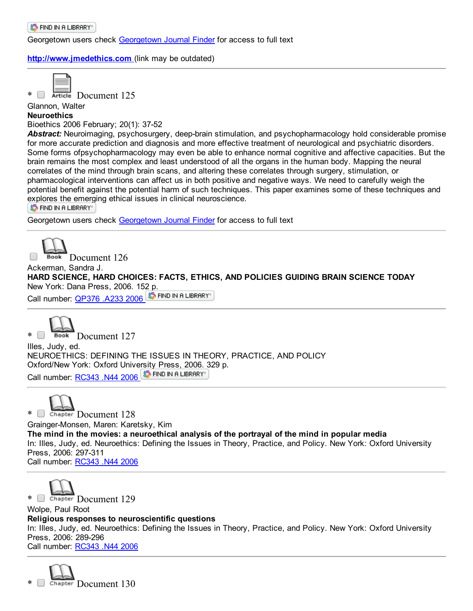[http://www.jmedethics.com](http://www.jmedethics.com/) (link may be outdated)



\* **B** Article Document 125

Glannon, Walter

**Neuroethics** 

Bioethics 2006 February; 20(1): 37-52

Abstract: Neuroimaging, psychosurgery, deep-brain stimulation, and psychopharmacology hold considerable promise for more accurate prediction and diagnosis and more effective treatment of neurological and psychiatric disorders. Some forms ofpsychopharmacology may even be able to enhance normal cognitive and affective capacities. But the brain remains the most complex and least understood of all the organs in the human body. Mapping the neural correlates of the mind through brain scans, and altering these correlates through surgery, stimulation, or pharmacological interventions can affect us in both positive and negative ways. We need to carefully weigh the potential benefit against the potential harm of such techniques. This paper examines some of these techniques and [explores](http://ethicslab.org/openurl/wc/0000293646/) the emerging ethical issues in clinical neuroscience.

S FIND IN A LIBRARY"

Georgetown users check [Georgetown](http://ethicslab.org/openurl/gt/0000293646/) Journal Finder for access to full text



Ackerman, Sandra J. HARD SCIENCE, HARD CHOICES: FACTS, ETHICS, AND POLICIES GUIDING BRAIN SCIENCE TODAY New York: Dana Press, 2006. 152 p.

Call number: [QP376](http://catalog.library.georgetown.edu/search/c?SEARCH=QP376%20.A233%202006&sortdropdown=-&searchscope=4) .A233 2006 5 FIND IN A LIBRARY



Illes, Judy, ed. NEUROETHICS: DEFINING THE ISSUES IN THEORY, PRACTICE, AND POLICY Oxford/New York: Oxford University [Press,](http://ethicslab.org/openurl/wc/0000292068/) 2006. 329 p. Call number: [RC343](http://catalog.library.georgetown.edu/search/c?SEARCH=RC343%20.N44%202006&sortdropdown=-&searchscope=4) .N44 2006 S FIND IN A LIBRARY



\* Chapter Document 128 Grainger-Monsen, Maren: Karetsky, Kim The mind in the movies: a neuroethical analysis of the portrayal of the mind in popular media In: Illes, Judy, ed. Neuroethics: Defining the Issues in Theory, Practice, and Policy. New York: Oxford University Press, 2006: 297-311 Call number: [RC343](http://catalog.library.georgetown.edu/search/c?SEARCH=RC343%20.N44%202006&sortdropdown=-&searchscope=4) .N44 2006

\* Chapter Document 129

Wolpe, Paul Root Religious responses to neuroscientific questions In: Illes, Judy, ed. Neuroethics: Defining the Issues in Theory, Practice, and Policy. New York: Oxford University Press, 2006: 289-296 Call number: [RC343](http://catalog.library.georgetown.edu/search/c?SEARCH=RC343%20.N44%202006&sortdropdown=-&searchscope=4) .N44 2006

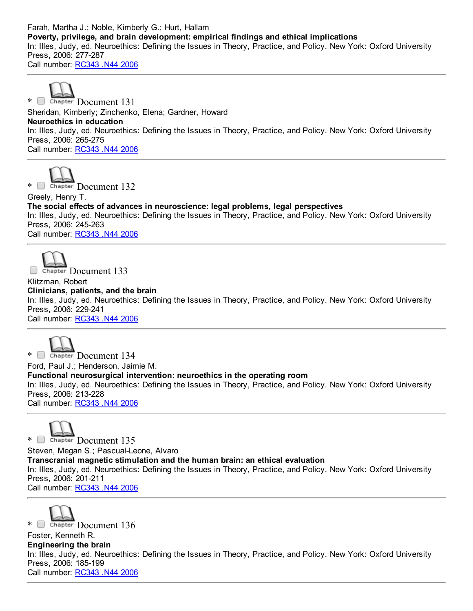Farah, Martha J.; Noble, Kimberly G.; Hurt, Hallam Poverty, privilege, and brain development: empirical findings and ethical implications In: Illes, Judy, ed. Neuroethics: Defining the Issues in Theory, Practice, and Policy. New York: Oxford University Press, 2006: 277-287 Call number: [RC343](http://catalog.library.georgetown.edu/search/c?SEARCH=RC343%20.N44%202006&sortdropdown=-&searchscope=4) .N44 2006



\* Chapter Document 131 Sheridan, Kimberly; Zinchenko, Elena; Gardner, Howard Neuroethics in education In: Illes, Judy, ed. Neuroethics: Defining the Issues in Theory, Practice, and Policy. New York: Oxford University Press, 2006: 265-275 Call number: [RC343](http://catalog.library.georgetown.edu/search/c?SEARCH=RC343%20.N44%202006&sortdropdown=-&searchscope=4) .N44 2006



\* Chapter Document 132

Greely, Henry T. The social effects of advances in neuroscience: legal problems, legal perspectives In: Illes, Judy, ed. Neuroethics: Defining the Issues in Theory, Practice, and Policy. New York: Oxford University Press, 2006: 245-263 Call number: [RC343](http://catalog.library.georgetown.edu/search/c?SEARCH=RC343%20.N44%202006&sortdropdown=-&searchscope=4) .N44 2006



Chapter Document 133

Klitzman, Robert Clinicians, patients, and the brain In: Illes, Judy, ed. Neuroethics: Defining the Issues in Theory, Practice, and Policy. New York: Oxford University Press, 2006: 229-241 Call number: [RC343](http://catalog.library.georgetown.edu/search/c?SEARCH=RC343%20.N44%202006&sortdropdown=-&searchscope=4) .N44 2006



\* Chapter Document 134 Ford, Paul J.; Henderson, Jaimie M. Functional neurosurgical intervention: neuroethics in the operating room In: Illes, Judy, ed. Neuroethics: Defining the Issues in Theory, Practice, and Policy. New York: Oxford University Press, 2006: 213-228 Call number: [RC343](http://catalog.library.georgetown.edu/search/c?SEARCH=RC343%20.N44%202006&sortdropdown=-&searchscope=4) .N44 2006



\* Chapter Document 135 Steven, Megan S.; Pascual-Leone, Alvaro Transcranial magnetic stimulation and the human brain: an ethical evaluation In: Illes, Judy, ed. Neuroethics: Defining the Issues in Theory, Practice, and Policy. New York: Oxford University Press, 2006: 201-211 Call number: [RC343](http://catalog.library.georgetown.edu/search/c?SEARCH=RC343%20.N44%202006&sortdropdown=-&searchscope=4) .N44 2006



\* Chapter Document 136 Foster, Kenneth R. Engineering the brain In: Illes, Judy, ed. Neuroethics: Defining the Issues in Theory, Practice, and Policy. New York: Oxford University Press, 2006: 185-199 Call number: [RC343](http://catalog.library.georgetown.edu/search/c?SEARCH=RC343%20.N44%202006&sortdropdown=-&searchscope=4) .N44 2006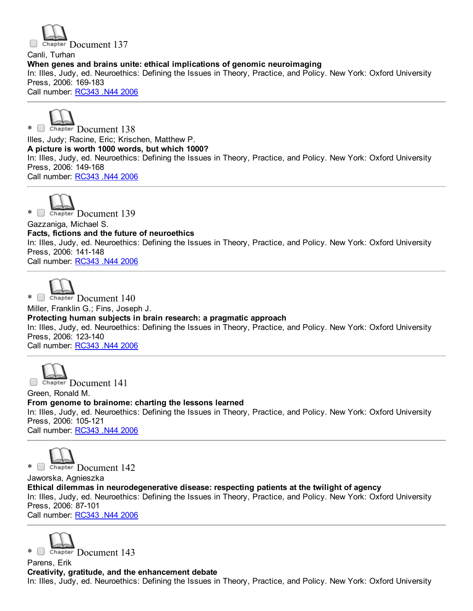# Chapter Document 137 Canli, Turhan When genes and brains unite: ethical implications of genomic neuroimaging In: Illes, Judy, ed. Neuroethics: Defining the Issues in Theory, Practice, and Policy. New York: Oxford University Press, 2006: 169-183 Call number: [RC343](http://catalog.library.georgetown.edu/search/c?SEARCH=RC343%20.N44%202006&sortdropdown=-&searchscope=4) .N44 2006

\* Chapter Document 138 Illes, Judy; Racine, Eric; Krischen, Matthew P. A picture is worth 1000 words, but which 1000? In: Illes, Judy, ed. Neuroethics: Defining the Issues in Theory, Practice, and Policy. New York: Oxford University Press, 2006: 149-168 Call number: [RC343](http://catalog.library.georgetown.edu/search/c?SEARCH=RC343%20.N44%202006&sortdropdown=-&searchscope=4) .N44 2006

\* Chapter Document 139

Gazzaniga, Michael S.

Facts, fictions and the future of neuroethics

In: Illes, Judy, ed. Neuroethics: Defining the Issues in Theory, Practice, and Policy. New York: Oxford University Press, 2006: 141-148

Call number: [RC343](http://catalog.library.georgetown.edu/search/c?SEARCH=RC343%20.N44%202006&sortdropdown=-&searchscope=4) .N44 2006



\* Chapter Document 140

Miller, Franklin G.; Fins, Joseph J.

Protecting human subjects in brain research: a pragmatic approach

In: Illes, Judy, ed. Neuroethics: Defining the Issues in Theory, Practice, and Policy. New York: Oxford University Press, 2006: 123-140

Call number: [RC343](http://catalog.library.georgetown.edu/search/c?SEARCH=RC343%20.N44%202006&sortdropdown=-&searchscope=4) .N44 2006



Green, Ronald M. From genome to brainome: charting the lessons learned In: Illes, Judy, ed. Neuroethics: Defining the Issues in Theory, Practice, and Policy. New York: Oxford University Press, 2006: 105-121 Call number: [RC343](http://catalog.library.georgetown.edu/search/c?SEARCH=RC343%20.N44%202006&sortdropdown=-&searchscope=4) .N44 2006

\* Chapter Document 142

Jaworska, Agnieszka Ethical dilemmas in neurodegenerative disease: respecting patients at the twilight of agency In: Illes, Judy, ed. Neuroethics: Defining the Issues in Theory, Practice, and Policy. New York: Oxford University Press, 2006: 87-101 Call number: [RC343](http://catalog.library.georgetown.edu/search/c?SEARCH=RC343%20.N44%202006&sortdropdown=-&searchscope=4) .N44 2006



Parens, Erik Creativity, gratitude, and the enhancement debate In: Illes, Judy, ed. Neuroethics: Defining the Issues in Theory, Practice, and Policy. New York: Oxford University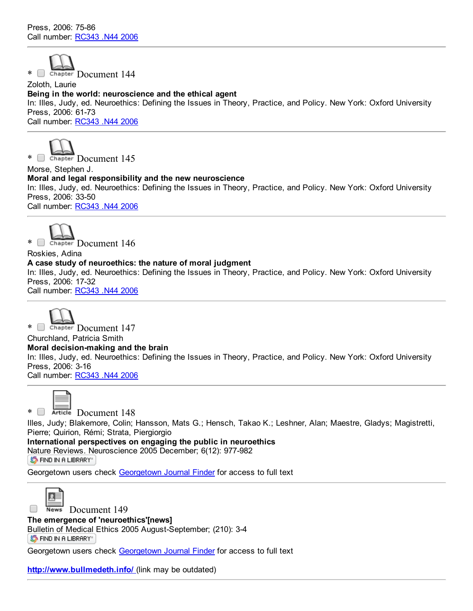

Zoloth, Laurie Being in the world: neuroscience and the ethical agent In: Illes, Judy, ed. Neuroethics: Defining the Issues in Theory, Practice, and Policy. New York: Oxford University Press, 2006: 61-73 Call number: [RC343](http://catalog.library.georgetown.edu/search/c?SEARCH=RC343%20.N44%202006&sortdropdown=-&searchscope=4) .N44 2006



Morse, Stephen J. Moral and legal responsibility and the new neuroscience In: Illes, Judy, ed. Neuroethics: Defining the Issues in Theory, Practice, and Policy. New York: Oxford University Press, 2006: 33-50 Call number: [RC343](http://catalog.library.georgetown.edu/search/c?SEARCH=RC343%20.N44%202006&sortdropdown=-&searchscope=4) .N44 2006

\* Chapter Document 146

Roskies, Adina A case study of neuroethics: the nature of moral judgment In: Illes, Judy, ed. Neuroethics: Defining the Issues in Theory, Practice, and Policy. New York: Oxford University Press, 2006: 17-32 Call number: [RC343](http://catalog.library.georgetown.edu/search/c?SEARCH=RC343%20.N44%202006&sortdropdown=-&searchscope=4) .N44 2006

\* Chapter Document 147 Churchland, Patricia Smith Moral decision-making and the brain In: Illes, Judy, ed. Neuroethics: Defining the Issues in Theory, Practice, and Policy. New York: Oxford University Press, 2006: 3-16 Call number: [RC343](http://catalog.library.georgetown.edu/search/c?SEARCH=RC343%20.N44%202006&sortdropdown=-&searchscope=4) .N44 2006

# \* Document 148

Illes, Judy; Blakemore, Colin; Hansson, Mats G.; Hensch, Takao K.; Leshner, Alan; Maestre, Gladys; Magistretti, Pierre; Quirion, Rémi; Strata, Piergiorgio

International perspectives on engaging the public in neuroethics Nature [Reviews.](http://ethicslab.org/openurl/wc/0000290148/) Neuroscience 2005 December; 6(12): 977-982

**S** FIND IN A LIBRARY"

Georgetown users check [Georgetown](http://ethicslab.org/openurl/gt/0000290148/) Journal Finder for access to full text



News Document 149

The emergence of 'neuroethics'[news]

Bulletin of [Medical](http://ethicslab.org/openurl/wc/0000286834/) Ethics 2005 August-September; (210): 3-4

ST FIND IN A LIBRARY"

Georgetown users check [Georgetown](http://ethicslab.org/openurl/gt/0000286834/) Journal Finder for access to full text

<http://www.bullmedeth.info/> (link may be outdated)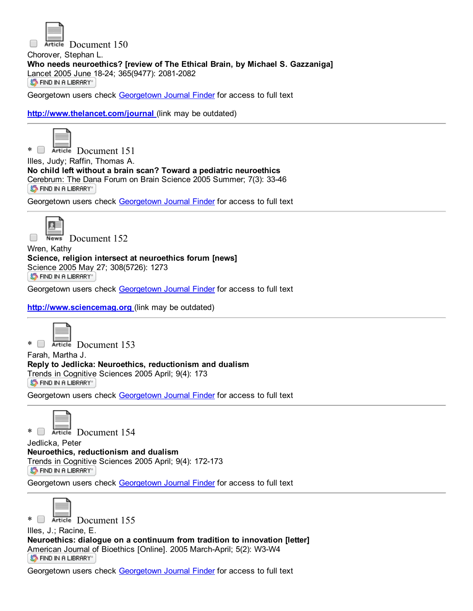

Article Document 150

Chorover, Stephan L. Who needs neuroethics? [review of The Ethical Brain, by Michael S. Gazzaniga] [Lancet](http://ethicslab.org/openurl/wc/0000285836/) 2005 June 18-24; 365(9477): 2081-2082 ST FIND IN A LIBRARY"

Georgetown users check [Georgetown](http://ethicslab.org/openurl/gt/0000285836/) Journal Finder for access to full text

<http://www.thelancet.com/journal> (link may be outdated)



\* Document 151

Illes, Judy; Raffin, Thomas A. No child left without a brain scan? Toward a pediatric neuroethics [Cerebrum:](http://ethicslab.org/openurl/wc/0000285383/) The Dana Forum on Brain Science 2005 Summer; 7(3): 3346 **S** FIND IN A LIBRARY"

Georgetown users check [Georgetown](http://ethicslab.org/openurl/gt/0000285383/) Journal Finder for access to full text



News Document 152

Wren, Kathy Science, religion intersect at neuroethics forum [news] [Science](http://ethicslab.org/openurl/wc/0000285038/) 2005 May 27; 308(5726): 1273 ST FIND IN A LIBRARY"

Georgetown users check [Georgetown](http://ethicslab.org/openurl/gt/0000285038/) Journal Finder for access to full text

[http://www.sciencemag.org](http://www.sciencemag.org/) (link may be outdated)



\* Document 153

Farah, Martha J. Reply to Jedlicka: Neuroethics, reductionism and dualism Trends in [Cognitive](http://ethicslab.org/openurl/wc/0000284111/) Sciences 2005 April; 9(4): 173 S FIND IN A LIBRARY"

Georgetown users check [Georgetown](http://ethicslab.org/openurl/gt/0000284111/) Journal Finder for access to full text

\* Retirle Document 154 Jedlicka, Peter Neuroethics, reductionism and dualism Trends in [Cognitive](http://ethicslab.org/openurl/wc/0000284110/) Sciences 2005 April; 9(4): 172-173

**S** FIND IN A LIBRARY

Georgetown users check [Georgetown](http://ethicslab.org/openurl/gt/0000284110/) Journal Finder for access to full text



\* Berticle Document 155

Illes, J.; Racine, E. Neuroethics: dialogue on a continuum from tradition to innovation [letter] [American](http://ethicslab.org/openurl/wc/0000282880/) Journal of Bioethics [Online]. 2005 March-April; 5(2): W3-W4 ST FIND IN A LIBRARY"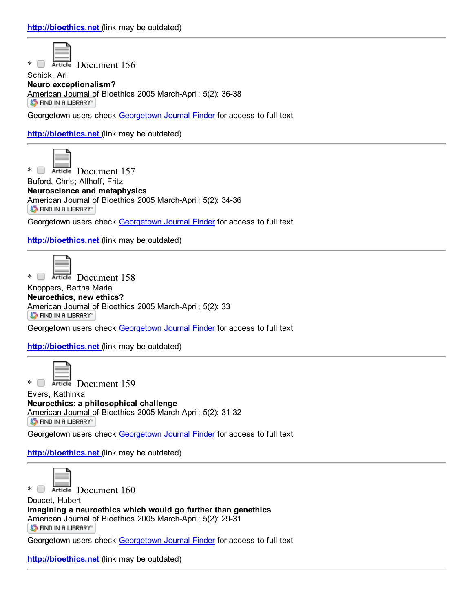\* Reticle Document 156

Schick, Ari Neuro exceptionalism? [American](http://ethicslab.org/openurl/wc/0000282866/) Journal of Bioethics 2005 March-April; 5(2): 36-38 **S** FIND IN A LIBRARY"

Georgetown users check [Georgetown](http://ethicslab.org/openurl/gt/0000282866/) Journal Finder for access to full text

[http://bioethics.net](http://bioethics.net/) (link may be outdated)



\* Document 157

Buford, Chris; Allhoff, Fritz Neuroscience and metaphysics [American](http://ethicslab.org/openurl/wc/0000282865/) Journal of Bioethics 2005 March-April; 5(2): 34-36 ST FIND IN A LIBRARY"

Georgetown users check [Georgetown](http://ethicslab.org/openurl/gt/0000282865/) Journal Finder for access to full text

[http://bioethics.net](http://bioethics.net/) (link may be outdated)



\* Document 158

Knoppers, Bartha Maria Neuroethics, new ethics? [American](http://ethicslab.org/openurl/wc/0000282864/) Journal of Bioethics 2005 March-April; 5(2): 33 **S** FIND IN A LIBRARY

Georgetown users check [Georgetown](http://ethicslab.org/openurl/gt/0000282864/) Journal Finder for access to full text

[http://bioethics.net](http://bioethics.net/) (link may be outdated)



\* Retricle Document 159

Evers, Kathinka Neuroethics: a philosophical challenge [American](http://ethicslab.org/openurl/wc/0000282863/) Journal of Bioethics 2005 March-April; 5(2): 31-32 **S** FIND IN A LIBRARY"

Georgetown users check [Georgetown](http://ethicslab.org/openurl/gt/0000282863/) Journal Finder for access to full text

[http://bioethics.net](http://bioethics.net/) (link may be outdated)



\* Retricle Document 160

Doucet, Hubert Imagining a neuroethics which would go further than genethics [American](http://ethicslab.org/openurl/wc/0000282862/) Journal of Bioethics 2005 March-April; 5(2): 29-31 ST FIND IN A LIBRARY"

Georgetown users check [Georgetown](http://ethicslab.org/openurl/gt/0000282862/) Journal Finder for access to full text

[http://bioethics.net](http://bioethics.net/) (link may be outdated)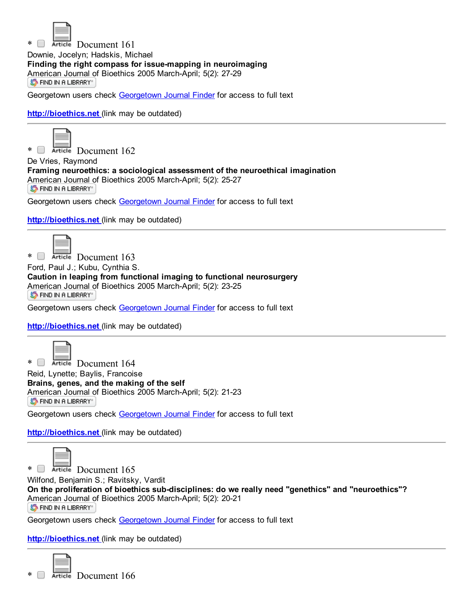

\* Article Document 161 Downie, Jocelyn; Hadskis, Michael Finding the right compass for issue-mapping in neuroimaging [American](http://ethicslab.org/openurl/wc/0000282861/) Journal of Bioethics 2005 March-April; 5(2): 27-29<br>
S FIND IN A LIBRARY

Georgetown users check [Georgetown](http://ethicslab.org/openurl/gt/0000282861/) Journal Finder for access to full text

[http://bioethics.net](http://bioethics.net/) (link may be outdated)



\* Article Document 162 De Vries, Raymond Framing neuroethics: a sociological assessment of the neuroethical imagination [American](http://ethicslab.org/openurl/wc/0000282860/) Journal of Bioethics 2005 March-April; 5(2): 25-27 ST FIND IN A LIBRARY"

Georgetown users check [Georgetown](http://ethicslab.org/openurl/gt/0000282860/) Journal Finder for access to full text

[http://bioethics.net](http://bioethics.net/) (link may be outdated)



\* Retricle Document 163

Ford, Paul J.; Kubu, Cynthia S.

Caution in leaping from functional imaging to functional neurosurgery [American](http://ethicslab.org/openurl/wc/0000282859/) Journal of Bioethics 2005 March-April; 5(2): 23-25

**S** FIND IN A LIBRARY"

Georgetown users check [Georgetown](http://ethicslab.org/openurl/gt/0000282859/) Journal Finder for access to full text

[http://bioethics.net](http://bioethics.net/) (link may be outdated)



\* Document 164 Reid, Lynette; Baylis, Francoise Brains, genes, and the making of the self [American](http://ethicslab.org/openurl/wc/0000282858/) Journal of Bioethics 2005 March-April; 5(2): 21-23 S FIND IN A LIBRARY"

Georgetown users check [Georgetown](http://ethicslab.org/openurl/gt/0000282858/) Journal Finder for access to full text

[http://bioethics.net](http://bioethics.net/) (link may be outdated)



Wilfond, Benjamin S.; Ravitsky, Vardit On the proliferation of bioethics sub-disciplines: do we really need "genethics" and "neuroethics"? [American](http://ethicslab.org/openurl/wc/0000282857/) Journal of Bioethics 2005 March-April; 5(2): 20-21 **S** FIND IN A LIBRARY"

Georgetown users check [Georgetown](http://ethicslab.org/openurl/gt/0000282857/) Journal Finder for access to full text

[http://bioethics.net](http://bioethics.net/) (link may be outdated)

\* Document 166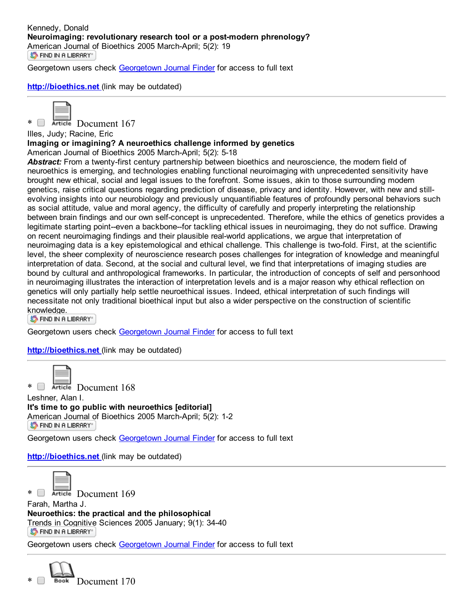Georgetown users check [Georgetown](http://ethicslab.org/openurl/gt/0000282856/) Journal Finder for access to full text

### [http://bioethics.net](http://bioethics.net/) (link may be outdated)



\* Article Document 167

## Illes, Judy; Racine, Eric

### Imaging or imagining? A neuroethics challenge informed by genetics

American Journal of Bioethics 2005 March-April; 5(2): 5-18

Abstract: From a twenty-first century partnership between bioethics and neuroscience, the modern field of neuroethics is emerging, and technologies enabling functional neuroimaging with unprecedented sensitivity have brought new ethical, social and legal issues to the forefront. Some issues, akin to those surrounding modern genetics, raise critical questions regarding prediction of disease, privacy and identity. However, with new and stillevolving insights into our neurobiology and previously unquantifiable features of profoundly personal behaviors such as social attitude, value and moral agency, the difficulty of carefully and properly interpreting the relationship between brain findings and our own self-concept is unprecedented. Therefore, while the ethics of genetics provides a legitimate starting point-even a backbone-for tackling ethical issues in neuroimaging, they do not suffice. Drawing on recent neuroimaging findings and their plausible realworld applications, we argue that interpretation of neuroimaging data is a key epistemological and ethical challenge. This challenge is twofold. First, at the scientific level, the sheer complexity of neuroscience research poses challenges for integration of knowledge and meaningful interpretation of data. Second, at the social and cultural level, we find that interpretations of imaging studies are bound by cultural and anthropological frameworks. In particular, the introduction of concepts of self and personhood in neuroimaging illustrates the interaction of interpretation levels and is a major reason why ethical reflection on genetics will only partially help settle neuroethical issues. Indeed, ethical interpretation of such findings will necessitate not only traditional bioethical input but also a wider perspective on the construction of scientific [knowledge.](http://ethicslab.org/openurl/wc/0000282855/)

**S** FIND IN A LIBRARY"

Georgetown users check [Georgetown](http://ethicslab.org/openurl/gt/0000282855/) Journal Finder for access to full text

#### [http://bioethics.net](http://bioethics.net/) (link may be outdated)



 $*$   $\Box$  Article Document 168

Leshner, Alan I. It's time to go public with neuroethics [editorial] [American](http://ethicslab.org/openurl/wc/0000282853/) Journal of Bioethics 2005 March-April; 5(2): 1-2 **S** FIND IN A LIBRARY

Georgetown users check [Georgetown](http://ethicslab.org/openurl/gt/0000282853/) Journal Finder for access to full text

[http://bioethics.net](http://bioethics.net/) (link may be outdated)



\* Reticle Document 169

Farah, Martha J. Neuroethics: the practical and the philosophical Trends in [Cognitive](http://ethicslab.org/openurl/wc/0000281506/) Sciences 2005 January; 9(1): 3440 ST FIND IN A LIBRARY"

Georgetown users check [Georgetown](http://ethicslab.org/openurl/gt/0000281506/) Journal Finder for access to full text

Book Document 170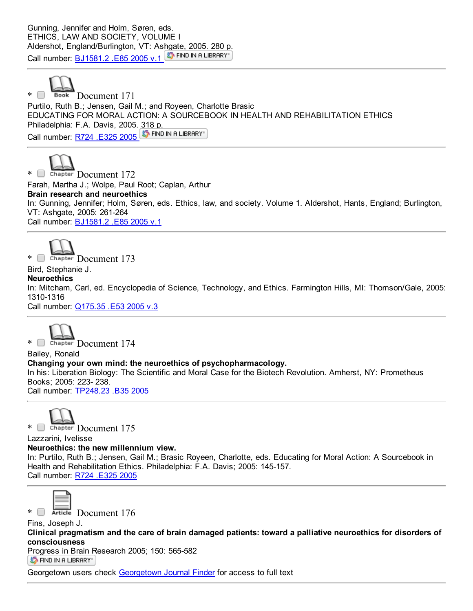Gunning, Jennifer and Holm, Søren, eds. ETHICS, LAW AND SOCIETY, VOLUME I Aldershot, England/Burlington, VT: A[shgate,](http://ethicslab.org/openurl/wc/0000280934/) 2005. 280 p. Call number: **[BJ1581.2](http://catalog.library.georgetown.edu/search/c?SEARCH=BJ1581.2%20.E85%202005%20v.1&sortdropdown=-&searchscope=4) .E85 2005 v.1** S FIND IN A LIBRARY



\* Book Document 171 Purtilo, Ruth B.; Jensen, Gail M.; and Royeen, Charlotte Brasic EDUCATING FOR MORAL ACTION: A SOURCEBOOK IN HEALTH AND REHABILITATION ETHICS Philadelphia: F.A. Davis, 2005. [318](http://ethicslab.org/openurl/wc/0000280507/) p. Call number: R724 [.E325](http://catalog.library.georgetown.edu/search/c?SEARCH=R724%20.E325%202005&sortdropdown=-&searchscope=4) 2005 5 FIND IN A LIBRARY



\* Chapter Document 172 Farah, Martha J.; Wolpe, Paul Root; Caplan, Arthur Brain research and neuroethics In: Gunning, Jennifer; Holm, Søren, eds. Ethics, law, and society. Volume 1. Aldershot, Hants, England; Burlington, VT: Ashgate, 2005: 261-264 Call number: [BJ1581.2](http://catalog.library.georgetown.edu/search/c?SEARCH=BJ1581.2%20.E85%202005%20v.1&sortdropdown=-&searchscope=4) .E85 2005 v.1

\* Chapter Document 173

Bird, Stephanie J.

**Neuroethics** 

In: Mitcham, Carl, ed. Encyclopedia of Science, Technology, and Ethics. Farmington Hills, MI: Thomson/Gale, 2005: 1310-1316

Call number: [Q175.35](http://catalog.library.georgetown.edu/search/c?SEARCH=Q175.35%20.E53%202005%20v.3&sortdropdown=-&searchscope=4) .E53 2005 v.3



Bailey, Ronald Changing your own mind: the neuroethics of psychopharmacology. In his: Liberation Biology: The Scientific and Moral Case for the Biotech Revolution. Amherst, NY: Prometheus Books; 2005: 223- 238. Call number: [TP248.23](http://catalog.library.georgetown.edu/search/c?SEARCH=TP248.23%20.B35%202005&sortdropdown=-&searchscope=4) .B35 2005



Lazzarini, Ivelisse Neuroethics: the new millennium view. In: Purtilo, Ruth B.; Jensen, Gail M.; Brasic Royeen, Charlotte, eds. Educating for Moral Action: A Sourcebook in Health and Rehabilitation Ethics. Philadelphia: F.A. Davis; 2005: 145-157. Call number: R724 [.E325](http://catalog.library.georgetown.edu/search/c?SEARCH=R724%20.E325%202005&sortdropdown=-&searchscope=4) 2005



\* Reticle Document 176

Fins, Joseph J.

Clinical pragmatism and the care of brain damaged patients: toward a palliative neuroethics for disorders of consciousness

[Progress](http://ethicslab.org/openurl/wc/0000279309/) in Brain Research 2005; 150: 565-582 ST FIND IN A LIBRARY"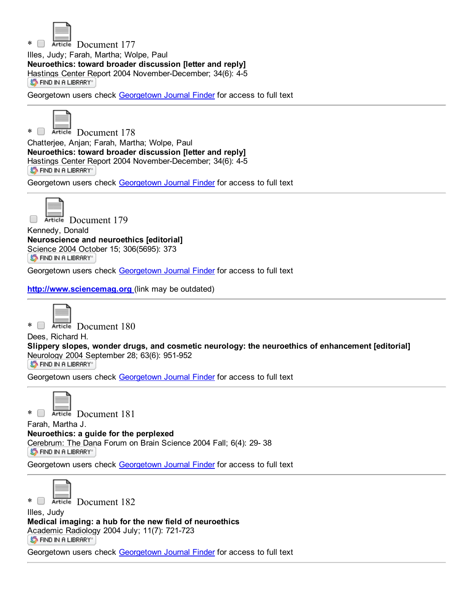

\* Document 177

Illes, Judy; Farah, Martha; Wolpe, Paul Neuroethics: toward broader discussion [letter and reply] [Hastings](http://ethicslab.org/openurl/wc/0000277262/) Center Report 2004 November-December: 34(6): 4-5 **S** FIND IN A LIBRARY

Georgetown users check [Georgetown](http://ethicslab.org/openurl/gt/0000277262/) Journal Finder for access to full text



\* Document 178

Chatterjee, Anjan; Farah, Martha; Wolpe, Paul Neuroethics: toward broader discussion [letter and reply] [Hastings](http://ethicslab.org/openurl/wc/0000277261/) Center Report 2004 November-December; 34(6): 4-5 ST FIND IN A LIBRARY"

Georgetown users check [Georgetown](http://ethicslab.org/openurl/gt/0000277261/) Journal Finder for access to full text



Article Document 179

Kennedy, Donald Neuroscience and neuroethics [editorial] [Science](http://ethicslab.org/openurl/wc/0000277032/) 2004 October 15; 306(5695): 373 S FIND IN A LIBRARY"

Georgetown users check [Georgetown](http://ethicslab.org/openurl/gt/0000277032/) Journal Finder for access to full text

[http://www.sciencemag.org](http://www.sciencemag.org/) (link may be outdated)



\* Document 180

Dees, Richard H.

Slippery slopes, wonder drugs, and cosmetic neurology: the neuroethics of enhancement [editorial] [Neurology](http://ethicslab.org/openurl/wc/0000276539/) 2004 September 28; 63(6): 951-952

ST FIND IN A LIBRARY"

Georgetown users check [Georgetown](http://ethicslab.org/openurl/gt/0000276539/) Journal Finder for access to full text



\* Document 181

Farah, Martha J.

Neuroethics: a guide for the perplexed [Cerebrum:](http://ethicslab.org/openurl/wc/0000275885/) The Dana Forum on Brain Science 2004 Fall; 6(4): 29-38 **S** FIND IN A LIBRARY"

Georgetown users check [Georgetown](http://ethicslab.org/openurl/gt/0000275885/) Journal Finder for access to full text



\* Document 182

Illes, Judy Medical imaging: a hub for the new field of neuroethics [Academic](http://ethicslab.org/openurl/wc/0000274179/) Radiology 2004 July; 11(7): 721-723 ST FIND IN A LIBRARY"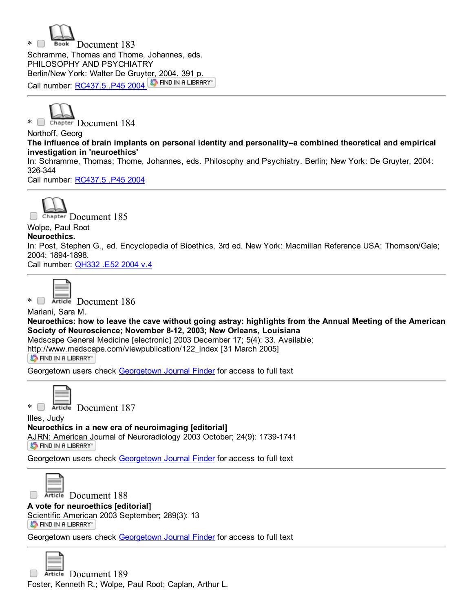



Northoff, Georg The influence of brain implants on personal identity and personality--a combined theoretical and empirical investigation in 'neuroethics'

In: Schramme, Thomas; Thome, Johannes, eds. Philosophy and Psychiatry. Berlin; New York: De Gruyter, 2004: 326-344

Call number: [RC437.5](http://catalog.library.georgetown.edu/search/c?SEARCH=RC437.5%20.P45%202004&sortdropdown=-&searchscope=4) .P45 2004



**Document 185** 

#### Wolpe, Paul Root Neuroethics.

In: Post, Stephen G., ed. Encyclopedia of Bioethics. 3rd ed. New York: Macmillan Reference USA: Thomson/Gale; 2004: 1894-1898.

Call number: [QH332](http://catalog.library.georgetown.edu/search/c?SEARCH=QH332%20.E52%202004%20v.4&sortdropdown=-&searchscope=4) .E52 2004 v.4



\* Document 186

Mariani, Sara M. Neuroethics: how to leave the cave without going astray: highlights from the Annual Meeting of the American Society of Neuroscience; November 8-12, 2003; New Orleans, Louisiana

Medscape General Medicine [electronic] 2003 December 17; 5(4): 33. Available:

[http://www.medsca](http://ethicslab.org/openurl/wc/0000265782/)pe.com/viewpublication/122\_index [31 March 2005]

ST FIND IN A LIBRARY"

Georgetown users check [Georgetown](http://ethicslab.org/openurl/gt/0000265782/) Journal Finder for access to full text



\* Document 187

Illes, Judy Neuroethics in a new era of neuroimaging [editorial] AJRN: [American](http://ethicslab.org/openurl/wc/0000263855/) Journal of Neuroradiology 2003 October; 24(9): 1739-1741 S FIND IN A LIBRARY"

Georgetown users check [Georgetown](http://ethicslab.org/openurl/gt/0000263855/) Journal Finder for access to full text



Article Document 188

A vote for neuroethics [editorial] [Scientific](http://ethicslab.org/openurl/wc/0000263171/) American 2003 September; 289(3): 13

S FIND IN A LIBRARY"

Georgetown users check [Georgetown](http://ethicslab.org/openurl/gt/0000263171/) Journal Finder for access to full text



Article Document 189  $\Box$ Foster, Kenneth R.; Wolpe, Paul Root; Caplan, Arthur L.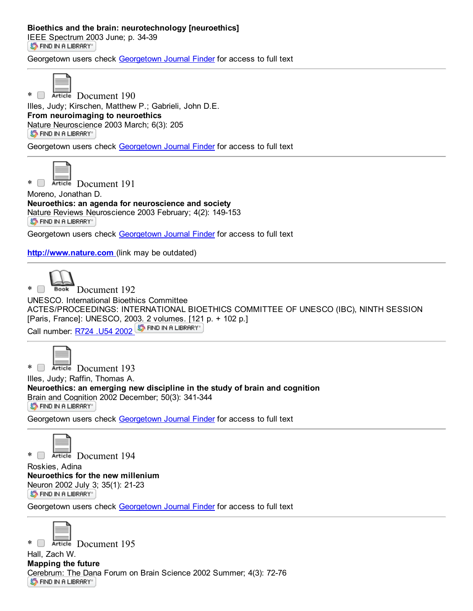## Bioethics and the brain: neurotechnology [neuroethics]

IEEE [Spectrum](http://ethicslab.org/openurl/wc/0000260108/) 2003 June; p. 34-39 **S** FIND IN A LIBRARY

Georgetown users check [Georgetown](http://ethicslab.org/openurl/gt/0000260108/) Journal Finder for access to full text



\* Document 190

Illes, Judy; Kirschen, Matthew P.; Gabrieli, John D.E. From neuroimaging to neuroethics Nature [Neuroscienc](http://ethicslab.org/openurl/wc/0000258378/)e 2003 March; 6(3): 205 ST FIND IN A LIBRARY"

Georgetown users check [Georgetown](http://ethicslab.org/openurl/gt/0000258378/) Journal Finder for access to full text



\* Article Document 191

Moreno, Jonathan D. Neuroethics: an agenda for neuroscience and society Nature [Reviews](http://ethicslab.org/openurl/wc/0000256997/) Neuroscience 2003 February; 4(2): 149-153 **S** FIND IN A LIBRARY"

Georgetown users check [Georgetown](http://ethicslab.org/openurl/gt/0000256997/) Journal Finder for access to full text

[http://www.nature.com](http://www.nature.com/) (link may be outdated)



\* Book Document 192 UNESCO. International Bioethics Committee ACTES/PROCEEDINGS: INTERNATIONAL BIOETHICS COMMITTEE OF UNESCO (IBC), NINTH SESSION [Paris, France]: UNESCO, 2003. 2 [volumes.](http://ethicslab.org/openurl/wc/0000255244/) [121 p. + 102 p.] Call number: [R724](http://catalog.library.georgetown.edu/search/c?SEARCH=R724%20.U54%202002&sortdropdown=-&searchscope=4) .U54 2002 ST FIND IN A LIBRARY



\* Document 193 Illes, Judy; Raffin, Thomas A. Neuroethics: an emerging new discipline in the study of brain and cognition Brain and [Cognition](http://ethicslab.org/openurl/wc/0000252609/) 2002 December; 50(3): 341-344 **S** FIND IN A LIBRARY

Georgetown users check [Georgetown](http://ethicslab.org/openurl/gt/0000252609/) Journal Finder for access to full text



\* Document 194

Roskies, Adina Neuroethics for the new millenium [Neuron](http://ethicslab.org/openurl/wc/0000248295/) 2002 July 3; 35(1): 21-23 **S** FIND IN A LIBRARY"

Georgetown users check [Georgetown](http://ethicslab.org/openurl/gt/0000248295/) Journal Finder for access to full text



Hall, Zach W. Mapping the future [Cerebrum:](http://ethicslab.org/openurl/wc/0000247332/) The Dana Forum on Brain Science 2002 Summer; 4(3): 72-76 **S** FIND IN A LIBRARY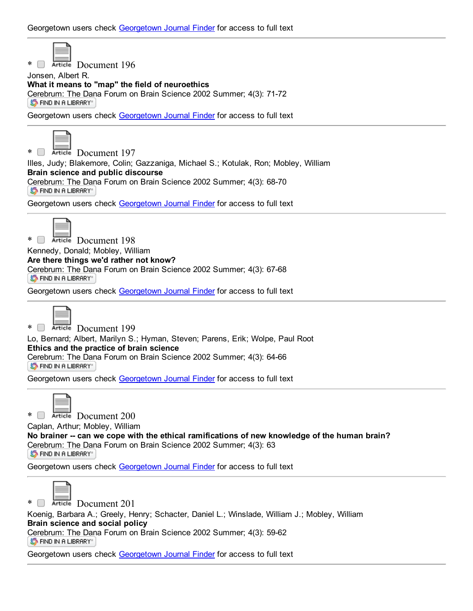

\* Document 196

Jonsen, Albert R.

What it means to "map" the field of neuroethics [Cerebrum:](http://ethicslab.org/openurl/wc/0000247331/) The Dana Forum on Brain Science 2002 Summer; 4(3): 71-72 **S** FIND IN A LIBRARY"

Georgetown users check [Georgetown](http://ethicslab.org/openurl/gt/0000247331/) Journal Finder for access to full text



\* Document 197

Illes, Judy; Blakemore, Colin; Gazzaniga, Michael S.; Kotulak, Ron; Mobley, William Brain science and public discourse [Cerebrum:](http://ethicslab.org/openurl/wc/0000247330/) The Dana Forum on Brain Science 2002 Summer; 4(3): 68-70 S FIND IN A LIBRARY"

Georgetown users check [Georgetown](http://ethicslab.org/openurl/gt/0000247330/) Journal Finder for access to full text



\* Document 198

Kennedy, Donald; Mobley, William

Are there things we'd rather not know?

[Cerebrum:](http://ethicslab.org/openurl/wc/0000247329/) The Dana Forum on Brain Science 2002 Summer; 4(3): 67-68 ST FIND IN A LIBRARY"

Georgetown users check [Georgetown](http://ethicslab.org/openurl/gt/0000247329/) Journal Finder for access to full text



\* Document 199

Lo, Bernard; Albert, Marilyn S.; Hyman, Steven; Parens, Erik; Wolpe, Paul Root Ethics and the practice of brain science [Cerebrum:](http://ethicslab.org/openurl/wc/0000247328/) The Dana Forum on Brain Science 2002 Summer; 4(3): 64-66 ST FIND IN A LIBRARY"

[Georgetown](http://ethicslab.org/openurl/gt/0000247328/) users check Georgetown Journal Finder for access to full text



\* Document 200

Caplan, Arthur; Mobley, William

No brainer -- can we cope with the ethical ramifications of new knowledge of the human brain? [Cerebrum:](http://ethicslab.org/openurl/wc/0000247327/) The Dana Forum on Brain Science 2002 Summer; 4(3): 63 **S** FIND IN A LIBRARY

[Georgetown](http://ethicslab.org/openurl/gt/0000247327/) users check Georgetown Journal Finder for access to full text



\* Document 201

Koenig, Barbara A.; Greely, Henry; Schacter, Daniel L.; Winslade, William J.; Mobley, William Brain science and social policy [Cerebrum:](http://ethicslab.org/openurl/wc/0000247326/) The Dana Forum on Brain Science 2002 Summer; 4(3): 59-62 **S** FIND IN A LIBRARY"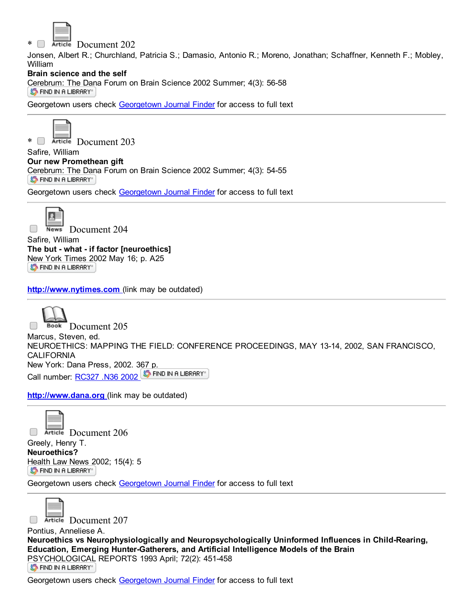

\* Document 202

Jonsen, Albert R.; Churchland, Patricia S.; Damasio, Antonio R.; Moreno, Jonathan; Schaffner, Kenneth F.; Mobley, William

## Brain science and the self

[Cerebrum:](http://ethicslab.org/openurl/wc/0000247325/) The Dana Forum on Brain Science 2002 Summer; 4(3): 5658 **S** FIND IN A LIBRARY"

Georgetown users check [Georgetown](http://ethicslab.org/openurl/gt/0000247325/) Journal Finder for access to full text



\* Document 203

Safire, William Our new Promethean gift [Cerebrum:](http://ethicslab.org/openurl/wc/0000247324/) The Dana Forum on Brain Science 2002 Summer; 4(3): 5455 **S** FIND IN A LIBRARY

Georgetown users check [Georgetown](http://ethicslab.org/openurl/gt/0000247324/) Journal Finder for access to full text



News Document 204

Safire, William The but - what - if factor [neuroethics] New York [Times](http://ethicslab.org/openurl/wc/0000246353/) 2002 May 16; p. A25 S FIND IN A LIBRARY"

[http://www.nytimes.com](http://www.nytimes.com/) (link may be outdated)

Book Document 205 Marcus, Steven, ed. NEUROETHICS: MAPPING THE FIELD: CONFERENCE PROCEEDINGS, MAY 1314, 2002, SAN FRANCISCO, **CALIFORNIA** New York: Dana Press, 2002. [367](http://ethicslab.org/openurl/wc/0000241494/) p. Call number: [RC327](http://catalog.library.georgetown.edu/search/c?SEARCH=RC327%20.N36%202002&sortdropdown=-&searchscope=4) .N36 2002 ST FIND IN A LIBRARY

[http://www.dana.org](http://www.dana.org/) (link may be outdated)

 $\Box$ Article Document 206 Greely, Henry T. Neuroethics? [Health](http://ethicslab.org/openurl/wc/0000239684/) Law News 2002; 15(4): 5

S FIND IN A LIBRARY"

Georgetown users check [Georgetown](http://ethicslab.org/openurl/gt/0000239684/) Journal Finder for access to full text



 $\Box$ 

Article Document 207

Pontius, Anneliese A. Neuroethics vs Neurophysiologically and Neuropsychologically Uninformed Influences in Child-Rearing, Education, Emerging HunterGatherers, and Artificial Intelligence Models of the Brain [PSYCHOLOGICAL](http://ethicslab.org/openurl/wc/0000128272/) REPORTS 1993 April; 72(2): 451-458 ST FIND IN A LIBRARY"